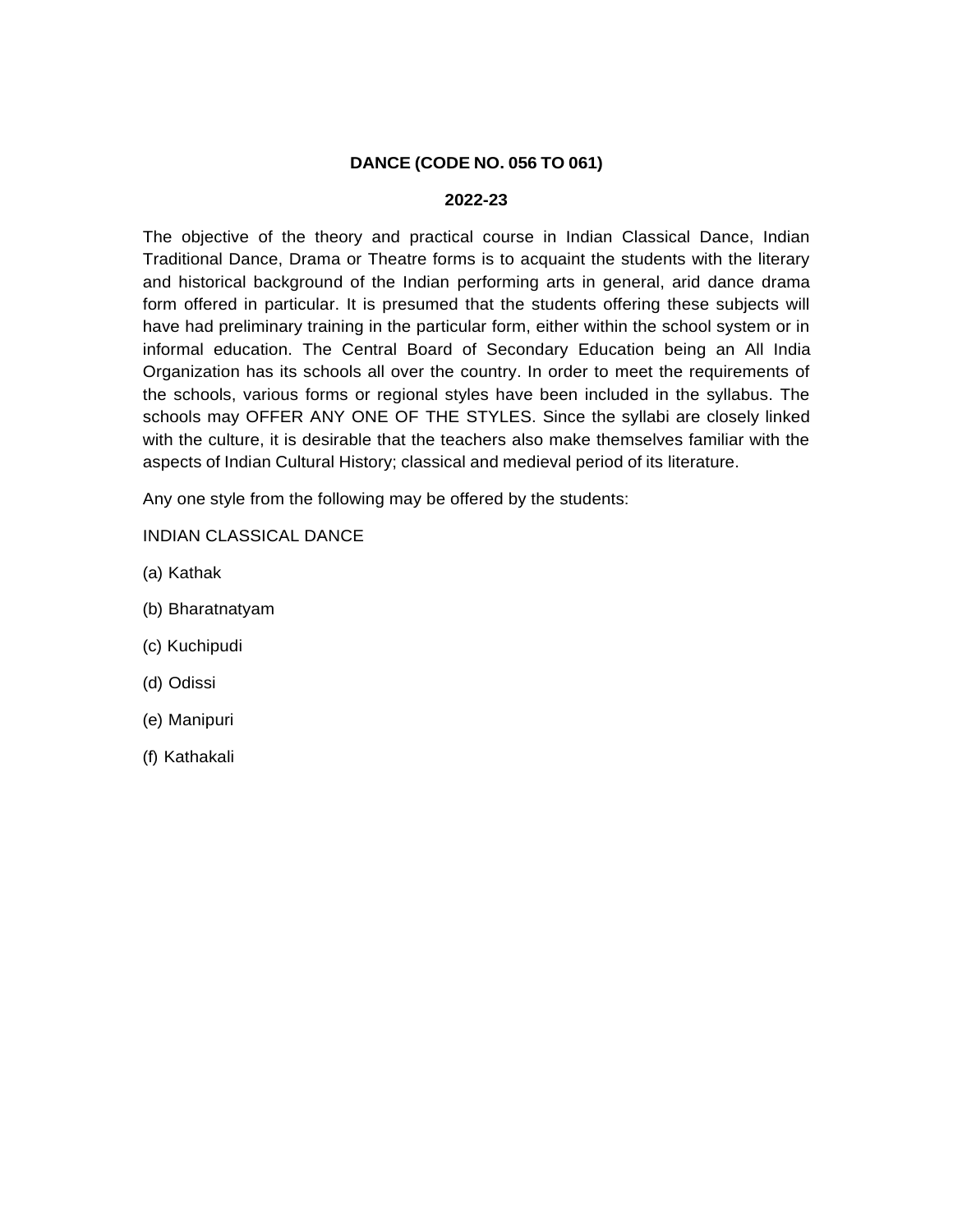# **DANCE (CODE NO. 056 TO 061)**

### **2022-23**

The objective of the theory and practical course in Indian Classical Dance, Indian Traditional Dance, Drama or Theatre forms is to acquaint the students with the literary and historical background of the Indian performing arts in general, arid dance drama form offered in particular. It is presumed that the students offering these subjects will have had preliminary training in the particular form, either within the school system or in informal education. The Central Board of Secondary Education being an All India Organization has its schools all over the country. In order to meet the requirements of the schools, various forms or regional styles have been included in the syllabus. The schools may OFFER ANY ONE OF THE STYLES. Since the syllabi are closely linked with the culture, it is desirable that the teachers also make themselves familiar with the aspects of Indian Cultural History; classical and medieval period of its literature.

Any one style from the following may be offered by the students:

INDIAN CLASSICAL DANCE

- (a) Kathak
- (b) Bharatnatyam
- (c) Kuchipudi
- (d) Odissi
- (e) Manipuri
- (f) Kathakali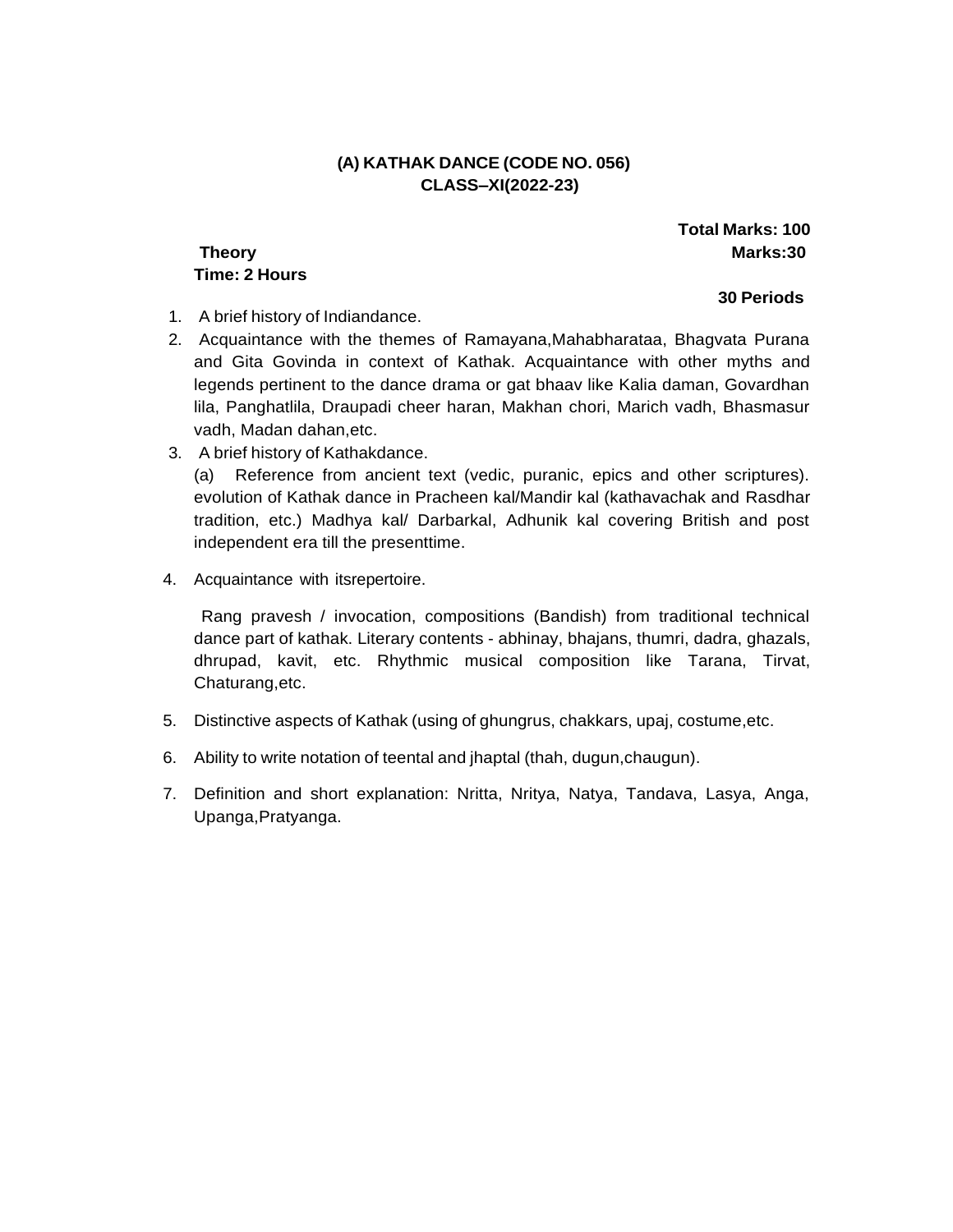# **(A) KATHAK DANCE (CODE NO. 056) CLASS–XI(2022-23)**

# **Time: 2 Hours**

**Total Marks: 100 Theory Marks:30**

**30 Periods**

### 1. A brief history of Indiandance.

- 2. Acquaintance with the themes of Ramayana,Mahabharataa, Bhagvata Purana and Gita Govinda in context of Kathak. Acquaintance with other myths and legends pertinent to the dance drama or gat bhaav like Kalia daman, Govardhan lila, Panghatlila, Draupadi cheer haran, Makhan chori, Marich vadh, Bhasmasur vadh, Madan dahan,etc.
- 3. A brief history of Kathakdance.

(a) Reference from ancient text (vedic, puranic, epics and other scriptures). evolution of Kathak dance in Pracheen kal/Mandir kal (kathavachak and Rasdhar tradition, etc.) Madhya kal/ Darbarkal, Adhunik kal covering British and post independent era till the presenttime.

4. Acquaintance with itsrepertoire.

Rang pravesh / invocation, compositions (Bandish) from traditional technical dance part of kathak. Literary contents - abhinay, bhajans, thumri, dadra, ghazals, dhrupad, kavit, etc. Rhythmic musical composition like Tarana, Tirvat, Chaturang,etc.

- 5. Distinctive aspects of Kathak (using of ghungrus, chakkars, upaj, costume,etc.
- 6. Ability to write notation of teental and jhaptal (thah, dugun,chaugun).
- 7. Definition and short explanation: Nritta, Nritya, Natya, Tandava, Lasya, Anga, Upanga,Pratyanga.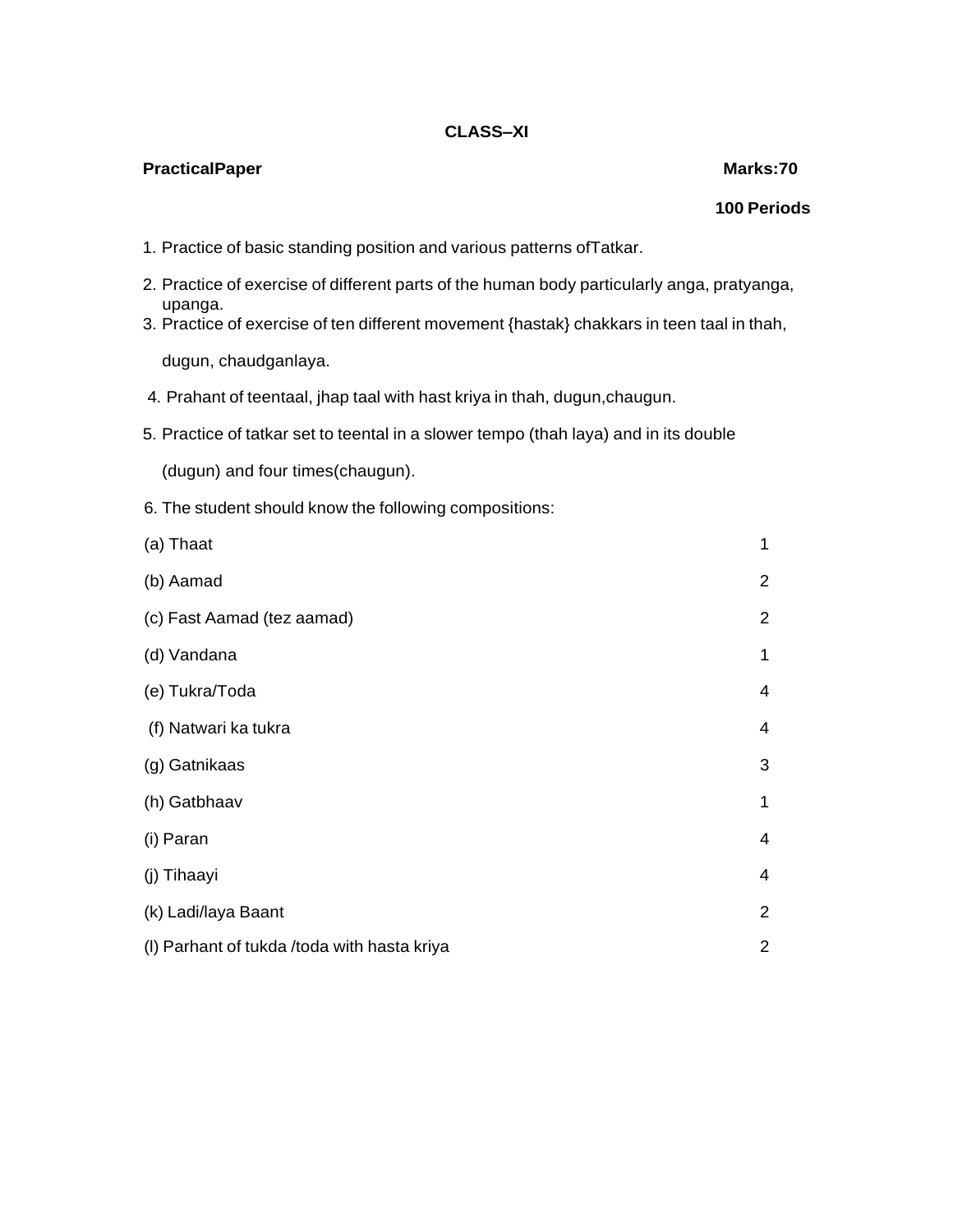### **PracticalPaper Marks:70**

# **100 Periods**

- 1. Practice of basic standing position and various patterns ofTatkar.
- 2. Practice of exercise of different parts of the human body particularly anga, pratyanga, upanga.
- 3. Practice of exercise of ten different movement {hastak} chakkars in teen taal in thah,

dugun, chaudganlaya.

- 4. Prahant of teentaal, jhap taal with hast kriya in thah, dugun,chaugun.
- 5. Practice of tatkar set to teental in a slower tempo (thah laya) and in its double

(dugun) and four times(chaugun).

6. The student should know the following compositions:

| (a) Thaat                                   | 1                        |
|---------------------------------------------|--------------------------|
| (b) Aamad                                   | $\overline{2}$           |
| (c) Fast Aamad (tez aamad)                  | $\overline{2}$           |
| (d) Vandana                                 | 1                        |
| (e) Tukra/Toda                              | $\overline{4}$           |
| (f) Natwari ka tukra                        | $\overline{\mathcal{A}}$ |
| (g) Gatnikaas                               | 3                        |
| (h) Gatbhaav                                | 1                        |
| (i) Paran                                   | $\overline{4}$           |
| (j) Tihaayi                                 | $\overline{4}$           |
| (k) Ladi/laya Baant                         | $\overline{2}$           |
| (I) Parhant of tukda /toda with hasta kriya | $\overline{2}$           |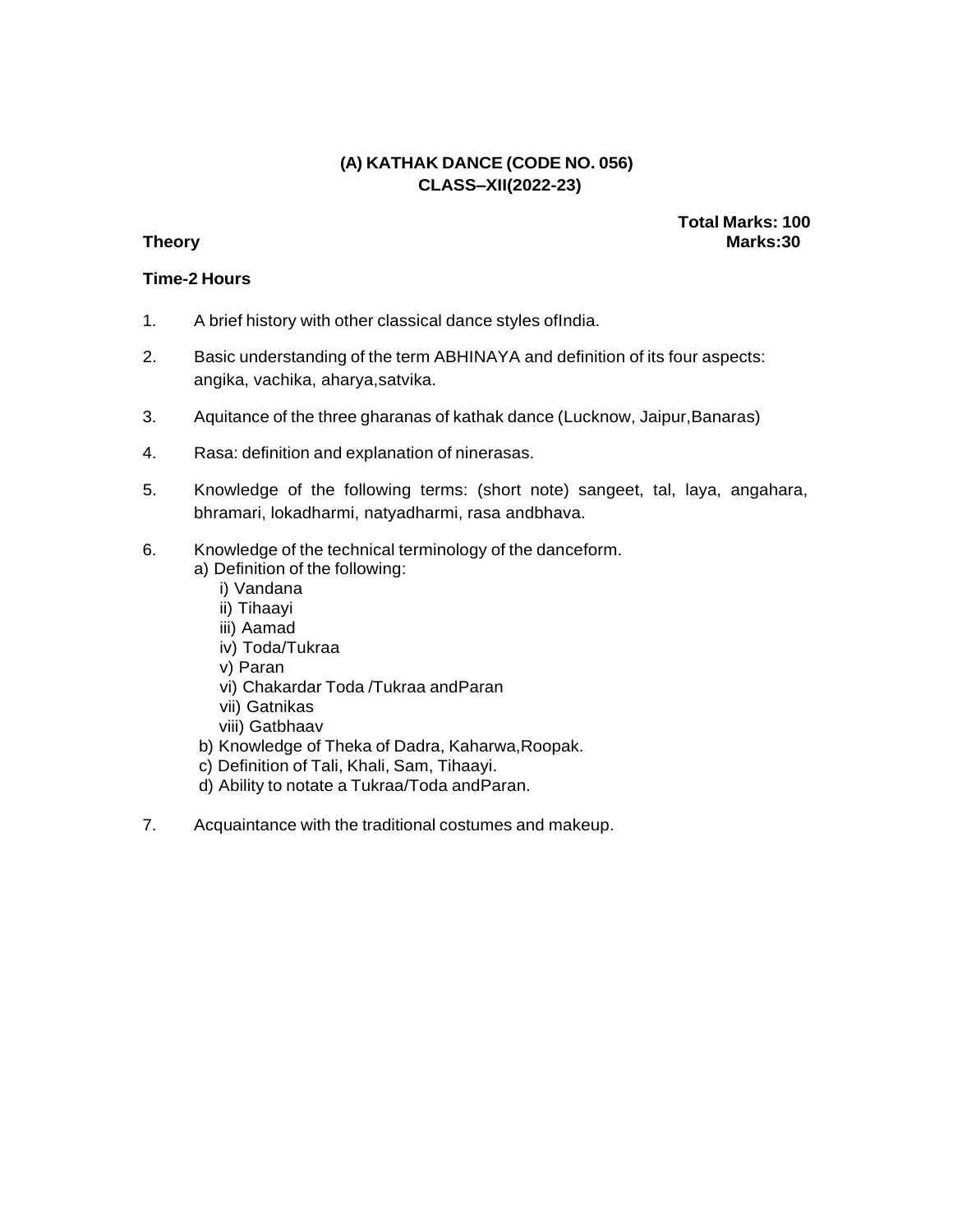# **(A) KATHAK DANCE (CODE NO. 056) CLASS–XII(2022-23)**

**Total Marks: 100 Theory Marks:30**

### **Time-2 Hours**

- 1. A brief history with other classical dance styles ofIndia.
- 2. Basic understanding of the term ABHINAYA and definition of its four aspects: angika, vachika, aharya,satvika.
- 3. Aquitance of the three gharanas of kathak dance (Lucknow, Jaipur,Banaras)
- 4. Rasa: definition and explanation of ninerasas.
- 5. Knowledge of the following terms: (short note) sangeet, tal, laya, angahara, bhramari, lokadharmi, natyadharmi, rasa andbhava.
- 6. Knowledge of the technical terminology of the danceform.
	- a) Definition of the following:
		- i) Vandana
		- ii) Tihaayi
		- iii) Aamad
		- iv) Toda/Tukraa
		- v) Paran
		- vi) Chakardar Toda /Tukraa andParan
		- vii) Gatnikas
		- viii) Gatbhaav
	- b) Knowledge of Theka of Dadra, Kaharwa,Roopak.
	- c) Definition of Tali, Khali, Sam, Tihaayi.
	- d) Ability to notate a Tukraa/Toda andParan.
- 7. Acquaintance with the traditional costumes and makeup.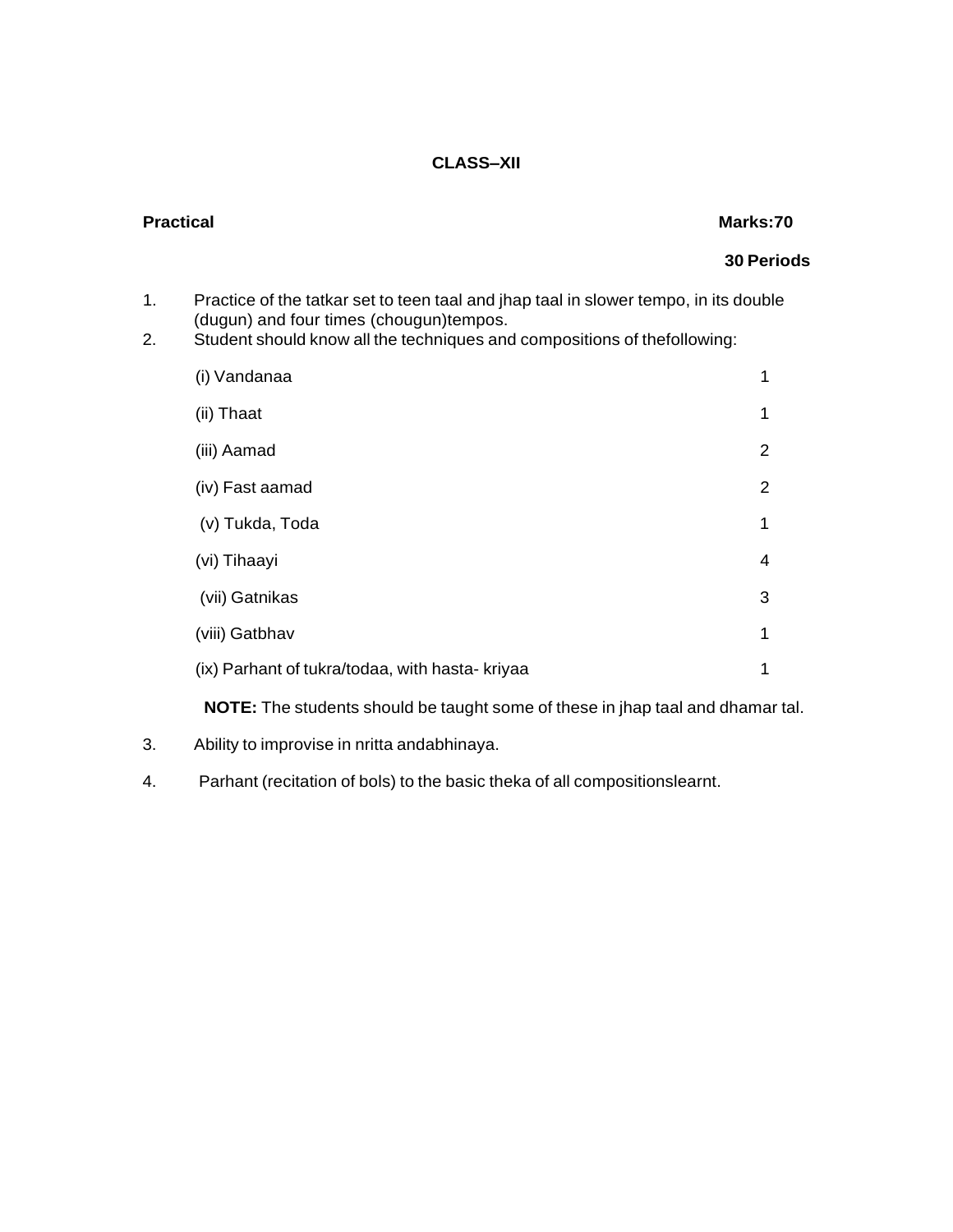# **Practical Marks:70**

# **30 Periods**

- 1. Practice of the tatkar set to teen taal and jhap taal in slower tempo, in its double (dugun) and four times (chougun)tempos.
- 2. Student should know all the techniques and compositions of thefollowing:

| (i) Vandanaa                                    | 1 |
|-------------------------------------------------|---|
| (ii) Thaat                                      | 1 |
| (iii) Aamad                                     | 2 |
| (iv) Fast aamad                                 | 2 |
| (v) Tukda, Toda                                 | 1 |
| (vi) Tihaayi                                    | 4 |
| (vii) Gatnikas                                  | 3 |
| (viii) Gatbhav                                  | 1 |
| (ix) Parhant of tukra/todaa, with hasta- kriyaa | 1 |

**NOTE:** The students should be taught some of these in jhap taal and dhamar tal.

- 3. Ability to improvise in nritta andabhinaya.
- 4. Parhant (recitation of bols) to the basic theka of all compositionslearnt.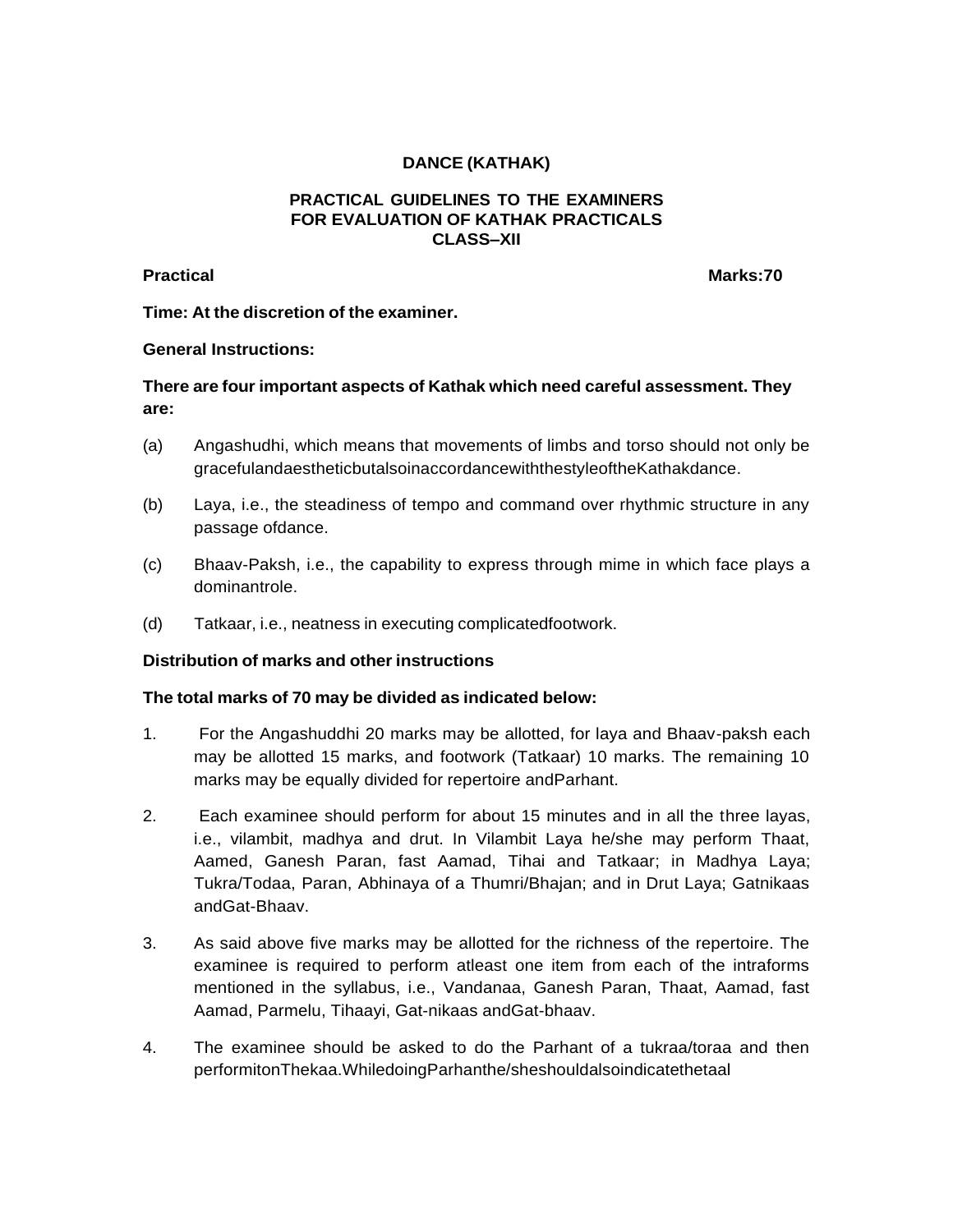# **DANCE (KATHAK)**

### **PRACTICAL GUIDELINES TO THE EXAMINERS FOR EVALUATION OF KATHAK PRACTICALS CLASS–XII**

**Practical Marks:70**

**Time: At the discretion of the examiner.**

### **General Instructions:**

# **There are four important aspects of Kathak which need careful assessment. They are:**

- (a) Angashudhi, which means that movements of limbs and torso should not only be gracefulandaestheticbutalsoinaccordancewiththestyleoftheKathakdance.
- (b) Laya, i.e., the steadiness of tempo and command over rhythmic structure in any passage ofdance.
- (c) Bhaav-Paksh, i.e., the capability to express through mime in which face plays a dominantrole.
- (d) Tatkaar, i.e., neatness in executing complicatedfootwork.

### **Distribution of marks and other instructions**

### **The total marks of 70 may be divided as indicated below:**

- 1. For the Angashuddhi 20 marks may be allotted, for laya and Bhaav-paksh each may be allotted 15 marks, and footwork (Tatkaar) 10 marks. The remaining 10 marks may be equally divided for repertoire andParhant.
- 2. Each examinee should perform for about 15 minutes and in all the three layas, i.e., vilambit, madhya and drut. In Vilambit Laya he/she may perform Thaat, Aamed, Ganesh Paran, fast Aamad, Tihai and Tatkaar; in Madhya Laya; Tukra/Todaa, Paran, Abhinaya of a Thumri/Bhajan; and in Drut Laya; Gatnikaas andGat-Bhaav.
- 3. As said above five marks may be allotted for the richness of the repertoire. The examinee is required to perform atleast one item from each of the intraforms mentioned in the syllabus, i.e., Vandanaa, Ganesh Paran, Thaat, Aamad, fast Aamad, Parmelu, Tihaayi, Gat-nikaas andGat-bhaav.
- 4. The examinee should be asked to do the Parhant of a tukraa/toraa and then performitonThekaa.WhiledoingParhanthe/sheshouldalsoindicatethetaal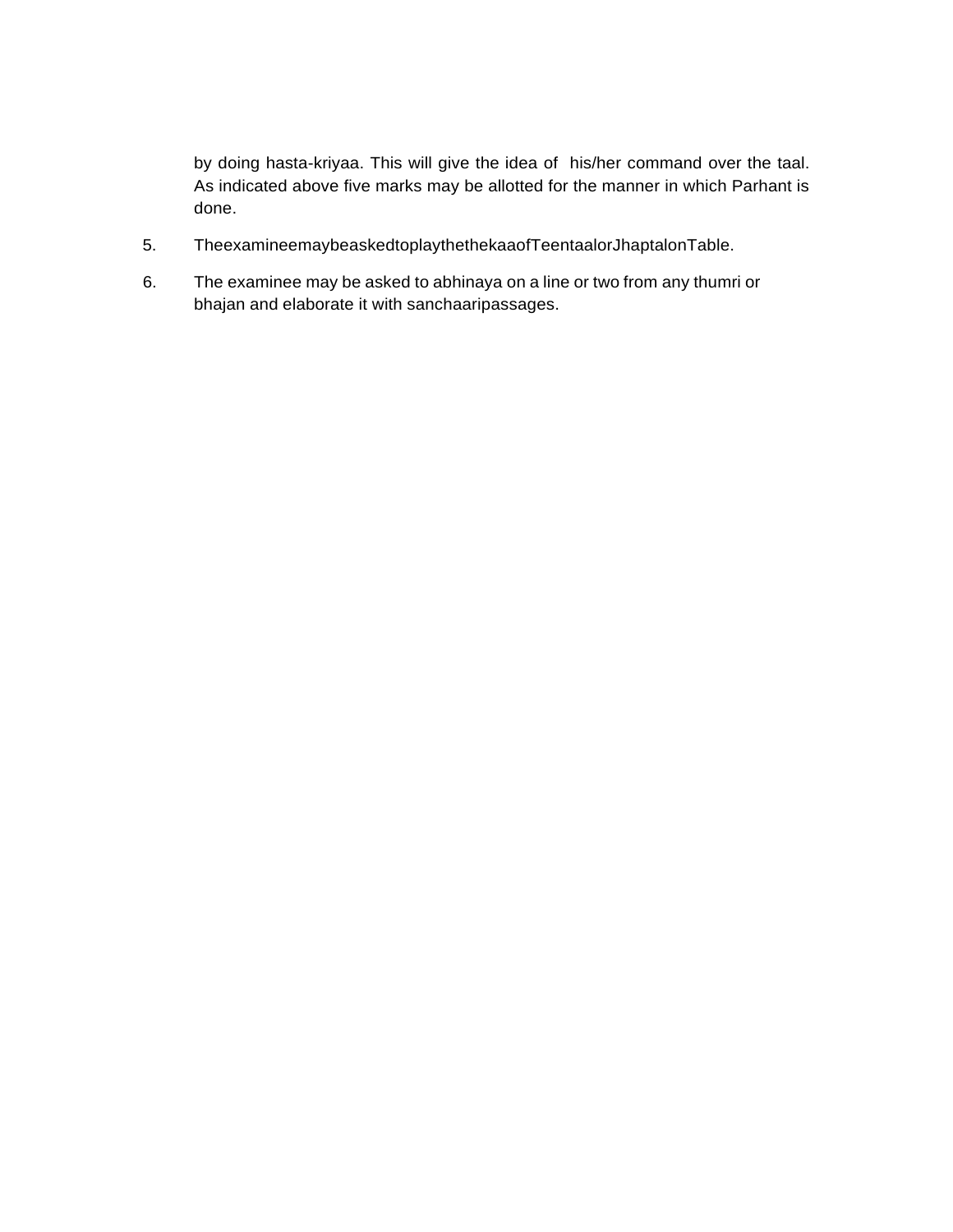by doing hasta-kriyaa. This will give the idea of his/her command over the taal. As indicated above five marks may be allotted for the manner in which Parhant is done.

- 5. TheexamineemaybeaskedtoplaythethekaaofTeentaalorJhaptalonTable.
- 6. The examinee may be asked to abhinaya on a line or two from any thumri or bhajan and elaborate it with sanchaaripassages.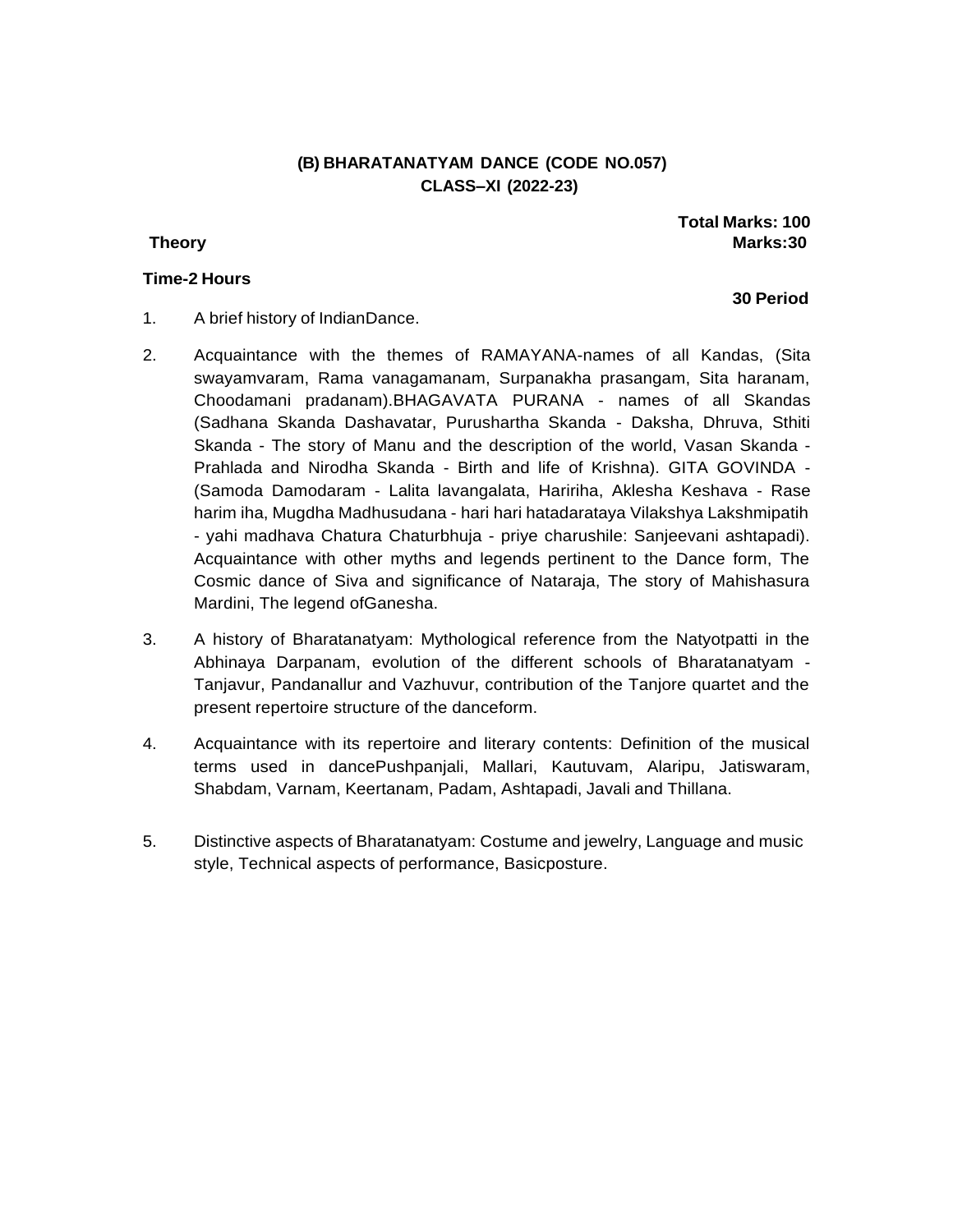# **(B) BHARATANATYAM DANCE (CODE NO.057) CLASS–XI (2022-23)**

### **Time-2 Hours**

# **Total Marks: 100 Theory Marks:30**

- 1. A brief history of IndianDance.
- 2. Acquaintance with the themes of RAMAYANA-names of all Kandas, (Sita swayamvaram, Rama vanagamanam, Surpanakha prasangam, Sita haranam, Choodamani pradanam).BHAGAVATA PURANA - names of all Skandas (Sadhana Skanda Dashavatar, Purushartha Skanda - Daksha, Dhruva, Sthiti Skanda - The story of Manu and the description of the world, Vasan Skanda - Prahlada and Nirodha Skanda - Birth and life of Krishna). GITA GOVINDA - (Samoda Damodaram - Lalita lavangalata, Haririha, Aklesha Keshava - Rase harim iha, Mugdha Madhusudana - hari hari hatadarataya Vilakshya Lakshmipatih - yahi madhava Chatura Chaturbhuja - priye charushile: Sanjeevani ashtapadi). Acquaintance with other myths and legends pertinent to the Dance form, The Cosmic dance of Siva and significance of Nataraja, The story of Mahishasura Mardini, The legend ofGanesha.
- 3. A history of Bharatanatyam: Mythological reference from the Natyotpatti in the Abhinaya Darpanam, evolution of the different schools of Bharatanatyam - Tanjavur, Pandanallur and Vazhuvur, contribution of the Tanjore quartet and the present repertoire structure of the danceform.
- 4. Acquaintance with its repertoire and literary contents: Definition of the musical terms used in dancePushpanjali, Mallari, Kautuvam, Alaripu, Jatiswaram, Shabdam, Varnam, Keertanam, Padam, Ashtapadi, Javali and Thillana.
- 5. Distinctive aspects of Bharatanatyam: Costume and jewelry, Language and music style, Technical aspects of performance, Basicposture.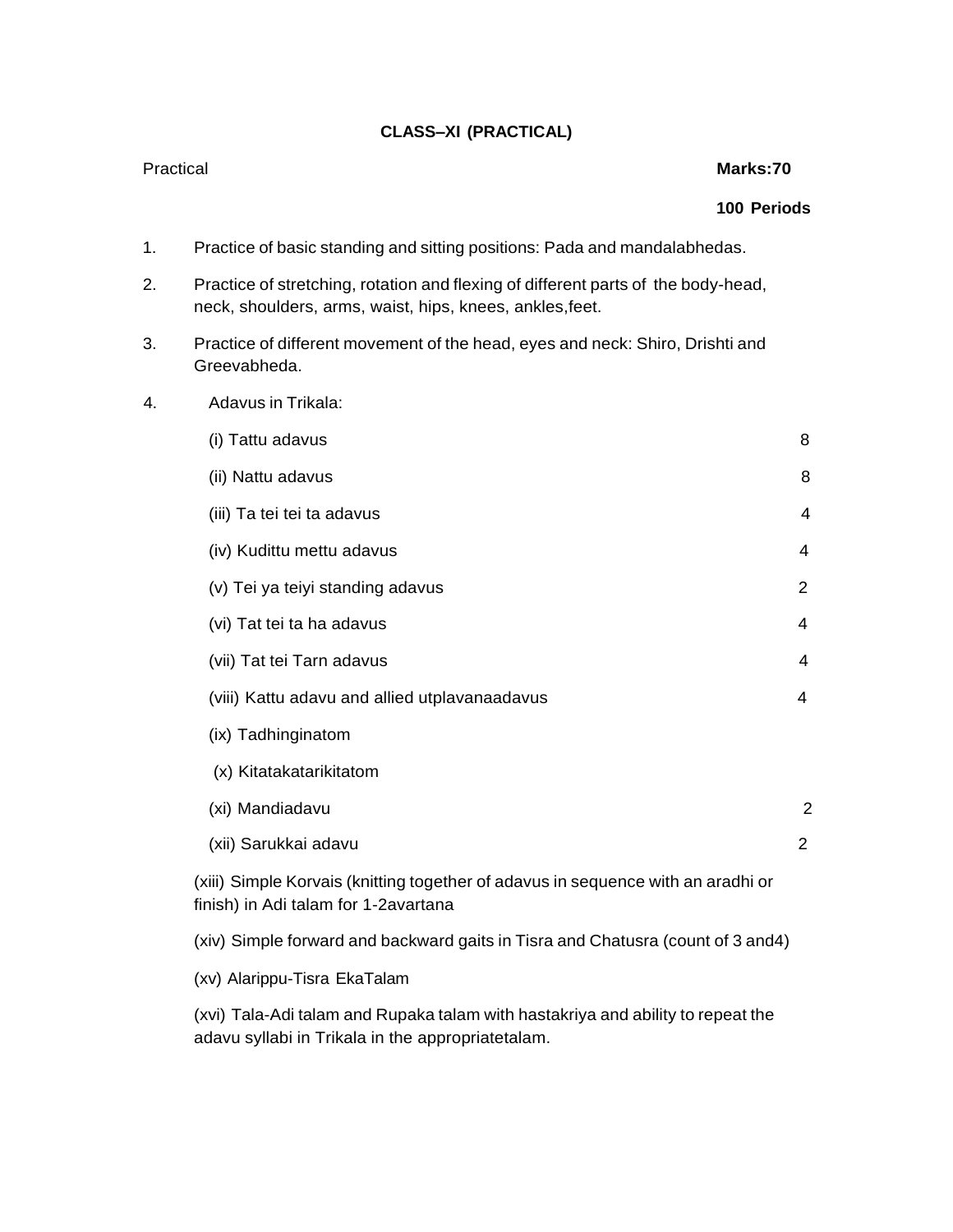# **CLASS–XI (PRACTICAL)**

### Practical **Marks:70**

### **100 Periods**

- 1. Practice of basic standing and sitting positions: Pada and mandalabhedas.
- 2. Practice of stretching, rotation and flexing of different parts of the body-head, neck, shoulders, arms, waist, hips, knees, ankles,feet.
- 3. Practice of different movement of the head, eyes and neck: Shiro, Drishti and Greevabheda.
- 4. Adavus in Trikala:

| (i) Tattu adavus                                                                 | 8              |
|----------------------------------------------------------------------------------|----------------|
| (ii) Nattu adavus                                                                | 8              |
| (iii) Ta tei tei ta adavus                                                       | 4              |
| (iv) Kudittu mettu adavus                                                        | 4              |
| (v) Tei ya teiyi standing adavus                                                 | 2              |
| (vi) Tat tei ta ha adavus                                                        | 4              |
| (vii) Tat tei Tarn adavus                                                        | 4              |
| (viii) Kattu adavu and allied utplavanaadavus                                    | 4              |
| (ix) Tadhinginatom                                                               |                |
| (x) Kitatakatarikitatom                                                          |                |
| (xi) Mandiadavu                                                                  | $\overline{2}$ |
| (xii) Sarukkai adavu                                                             | 2              |
| (xiii) Simple Korvais (knitting together of adavus in sequence with an aradhi or |                |

finish) in Adi talam for 1-2avartana

(xiv) Simple forward and backward gaits in Tisra and Chatusra (count of 3 and4)

(xv) Alarippu-Tisra EkaTalam

(xvi) Tala-Adi talam and Rupaka talam with hastakriya and ability to repeat the adavu syllabi in Trikala in the appropriatetalam.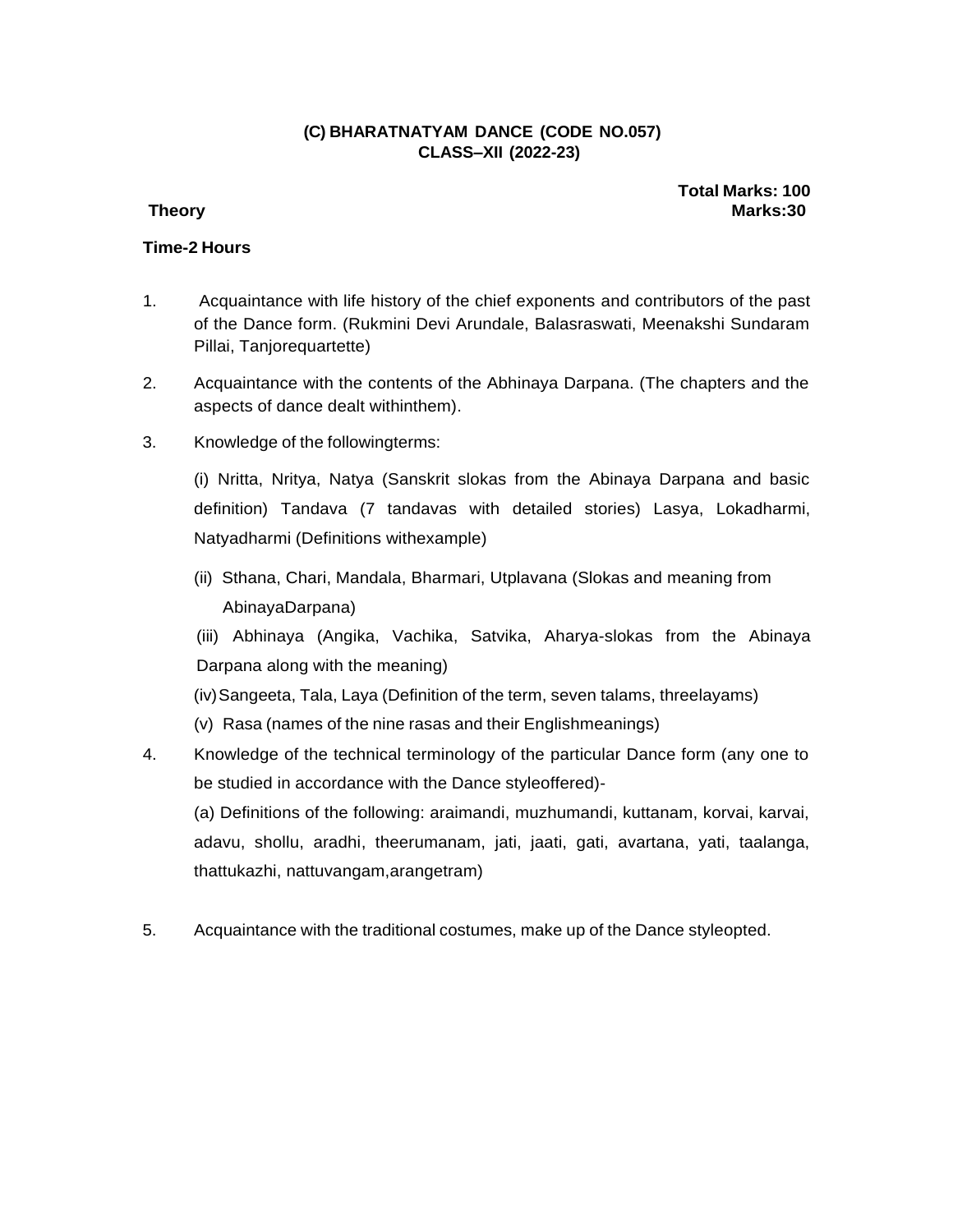# **(C) BHARATNATYAM DANCE (CODE NO.057) CLASS–XII (2022-23)**

**Total Marks: 100 Theory Marks:30**

# **Time-2 Hours**

- 1. Acquaintance with life history of the chief exponents and contributors of the past of the Dance form. (Rukmini Devi Arundale, Balasraswati, Meenakshi Sundaram Pillai, Tanjorequartette)
- 2. Acquaintance with the contents of the Abhinaya Darpana. (The chapters and the aspects of dance dealt withinthem).
- 3. Knowledge of the followingterms:

(i) Nritta, Nritya, Natya (Sanskrit slokas from the Abinaya Darpana and basic definition) Tandava (7 tandavas with detailed stories) Lasya, Lokadharmi, Natyadharmi (Definitions withexample)

(ii) Sthana, Chari, Mandala, Bharmari, Utplavana (Slokas and meaning from AbinayaDarpana)

(iii) Abhinaya (Angika, Vachika, Satvika, Aharya-slokas from the Abinaya Darpana along with the meaning)

- (iv)Sangeeta, Tala, Laya (Definition of the term, seven talams, threelayams)
- (v) Rasa (names of the nine rasas and their Englishmeanings)
- 4. Knowledge of the technical terminology of the particular Dance form (any one to be studied in accordance with the Dance styleoffered)-

(a) Definitions of the following: araimandi, muzhumandi, kuttanam, korvai, karvai, adavu, shollu, aradhi, theerumanam, jati, jaati, gati, avartana, yati, taalanga, thattukazhi, nattuvangam,arangetram)

5. Acquaintance with the traditional costumes, make up of the Dance styleopted.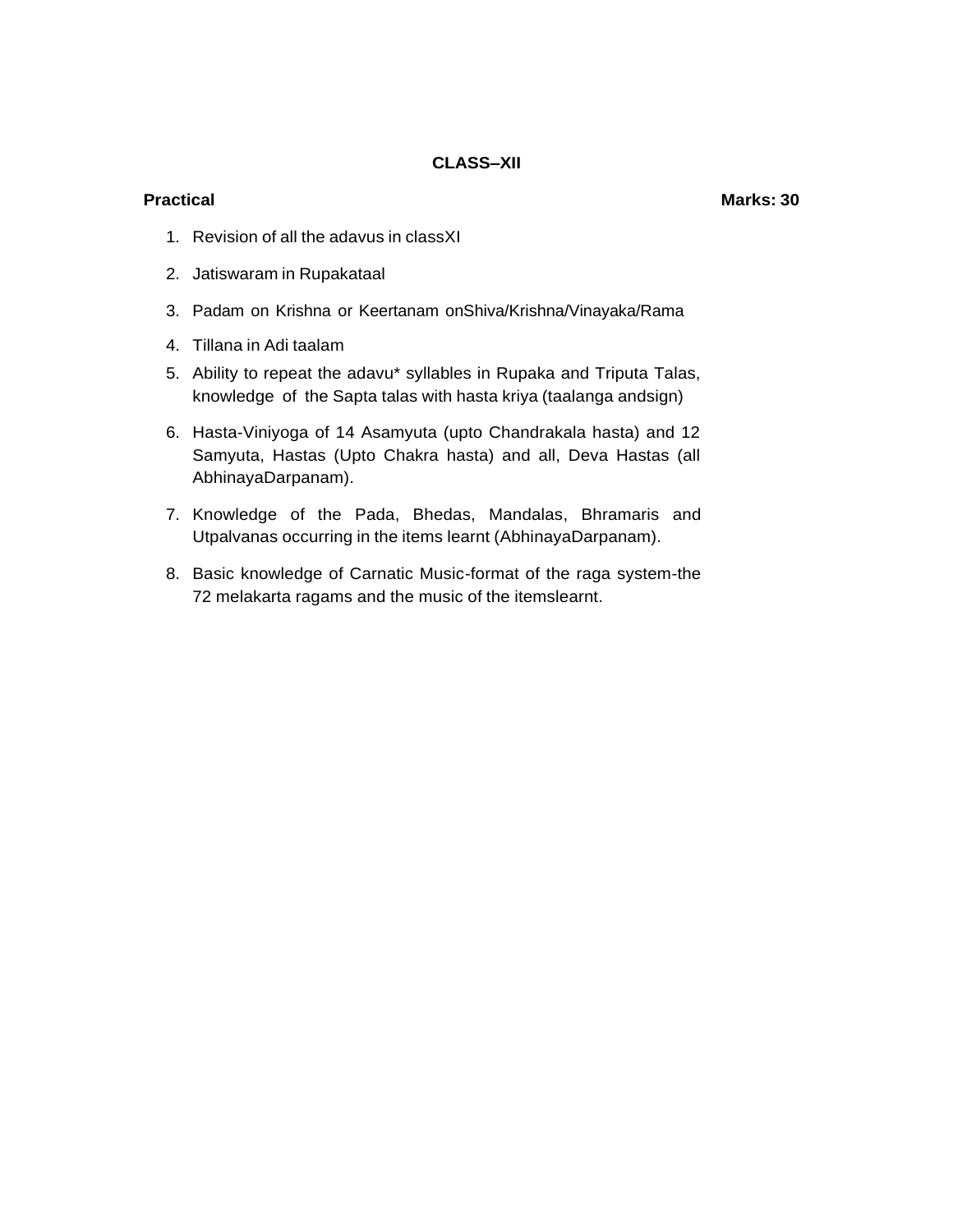### **Practical Marks: 30**

- 1. Revision of all the adavus in classXI
- 2. Jatiswaram in Rupakataal
- 3. Padam on Krishna or Keertanam onShiva/Krishna/Vinayaka/Rama
- 4. Tillana in Adi taalam
- 5. Ability to repeat the adavu\* syllables in Rupaka and Triputa Talas, knowledge of the Sapta talas with hasta kriya (taalanga andsign)
- 6. Hasta-Viniyoga of 14 Asamyuta (upto Chandrakala hasta) and 12 Samyuta, Hastas (Upto Chakra hasta) and all, Deva Hastas (all AbhinayaDarpanam).
- 7. Knowledge of the Pada, Bhedas, Mandalas, Bhramaris and Utpalvanas occurring in the items learnt (AbhinayaDarpanam).
- 8. Basic knowledge of Carnatic Music-format of the raga system-the 72 melakarta ragams and the music of the itemslearnt.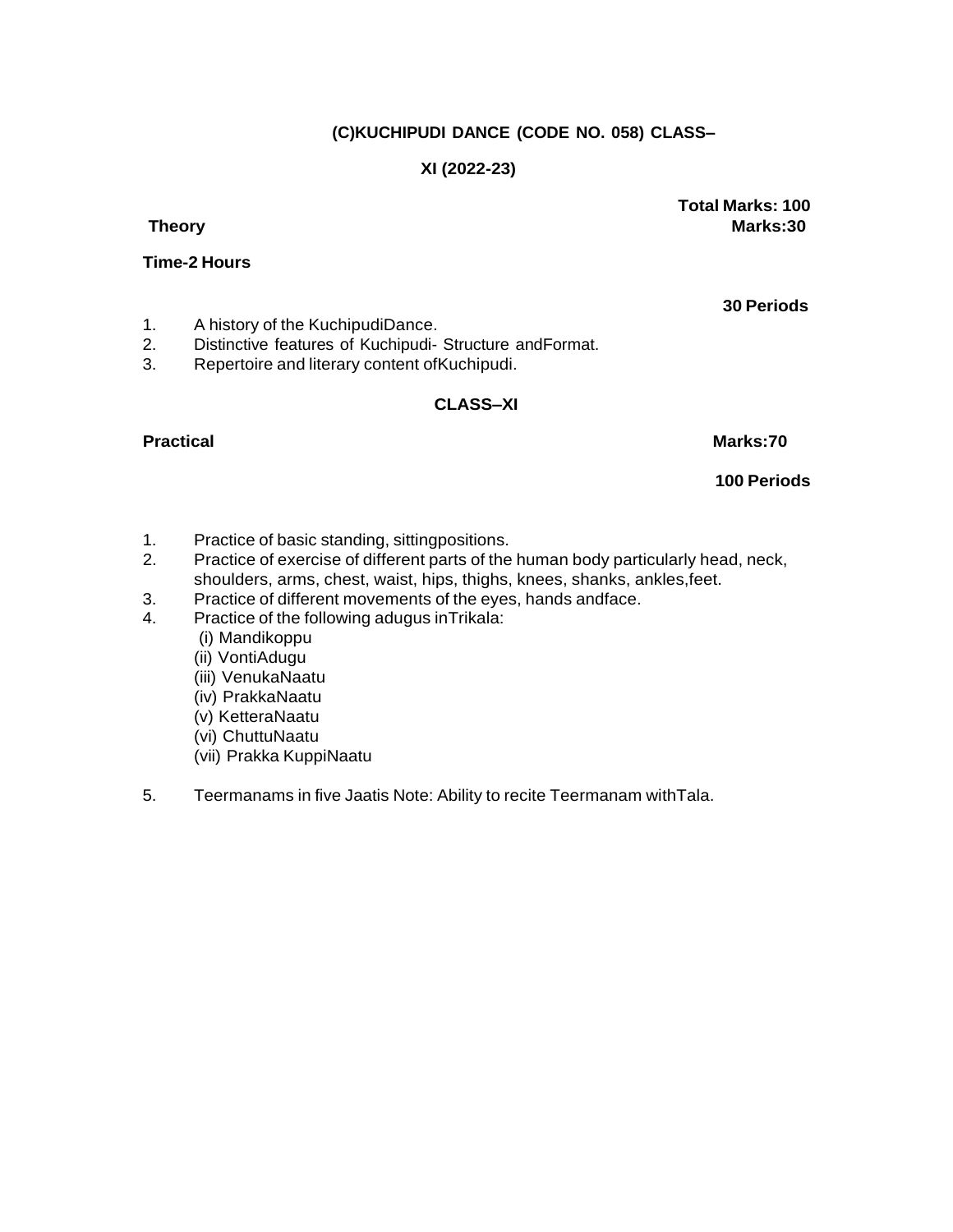# **(C)KUCHIPUDI DANCE (CODE NO. 058) CLASS–**

# **XI (2022-23)**

**Total Marks: 100 Theory Marks:30**

# **Time-2 Hours**

1. A history of the KuchipudiDance.<br>2. Distinctive features of Kuchipudi-

- Distinctive features of Kuchipudi- Structure andFormat.
- 3. Repertoire and literary content ofKuchipudi.

### **CLASS–XI**

# **Practical Marks:70**

**100 Periods**

- 1. Practice of basic standing, sittingpositions.
- 2. Practice of exercise of different parts of the human body particularly head, neck, shoulders, arms, chest, waist, hips, thighs, knees, shanks, ankles,feet.
- 3. Practice of different movements of the eyes, hands andface.
- 4. Practice of the following adugus inTrikala:
	- (i) Mandikoppu
	- (ii) VontiAdugu
	- (iii) VenukaNaatu
	- (iv) PrakkaNaatu
	- (v) KetteraNaatu
	- (vi) ChuttuNaatu
	- (vii) Prakka KuppiNaatu
- 5. Teermanams in five Jaatis Note: Ability to recite Teermanam withTala.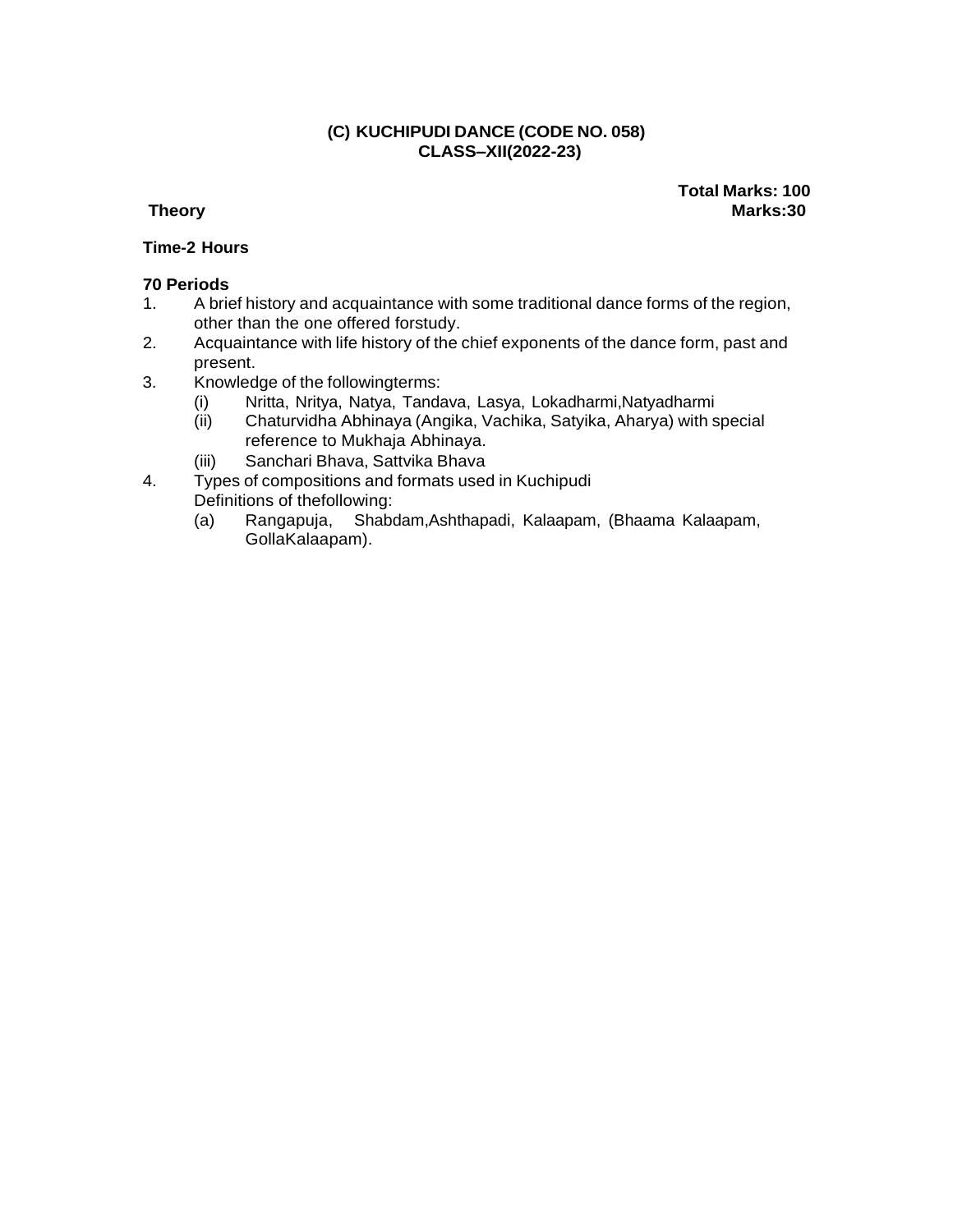# **(C) KUCHIPUDI DANCE (CODE NO. 058) CLASS–XII(2022-23)**

**Total Marks: 100 Theory Marks:30**

# **Time-2 Hours**

- 1. A brief history and acquaintance with some traditional dance forms of the region, other than the one offered forstudy.
- 2. Acquaintance with life history of the chief exponents of the dance form, past and present.
- 3. Knowledge of the followingterms:
	- (i) Nritta, Nritya, Natya, Tandava, Lasya, Lokadharmi,Natyadharmi
	- (ii) Chaturvidha Abhinaya (Angika, Vachika, Satyika, Aharya) with special reference to Mukhaja Abhinaya.
	- (iii) Sanchari Bhava, Sattvika Bhava
- 4. Types of compositions and formats used in Kuchipudi Definitions of thefollowing:
	- (a) Rangapuja, Shabdam,Ashthapadi, Kalaapam, (Bhaama Kalaapam, GollaKalaapam).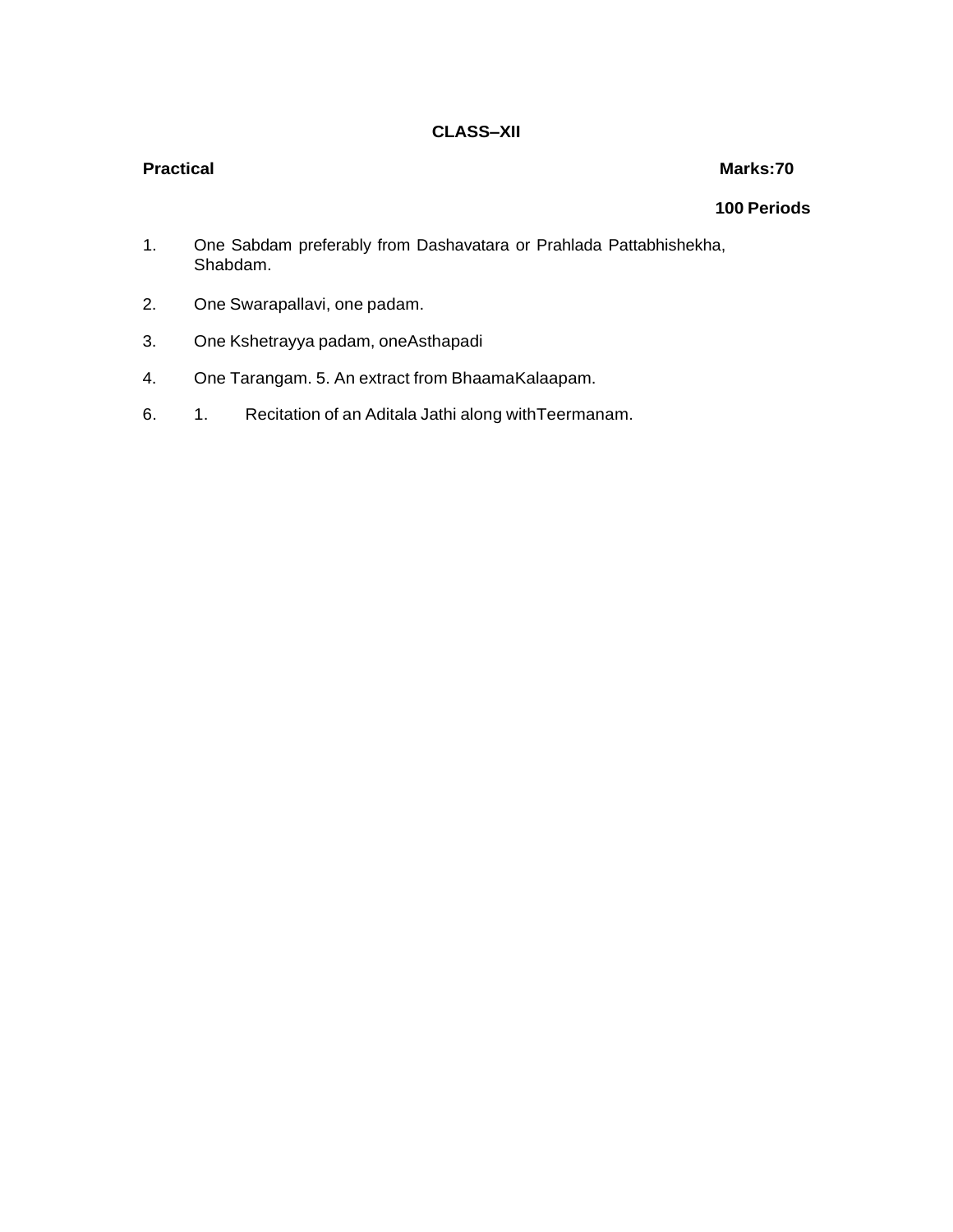### **Practical Marks:70**

- 1. One Sabdam preferably from Dashavatara or Prahlada Pattabhishekha, Shabdam.
- 2. One Swarapallavi, one padam.
- 3. One Kshetrayya padam, oneAsthapadi
- 4. One Tarangam. 5. An extract from BhaamaKalaapam.
- 6. 1. Recitation of an Aditala Jathi along withTeermanam.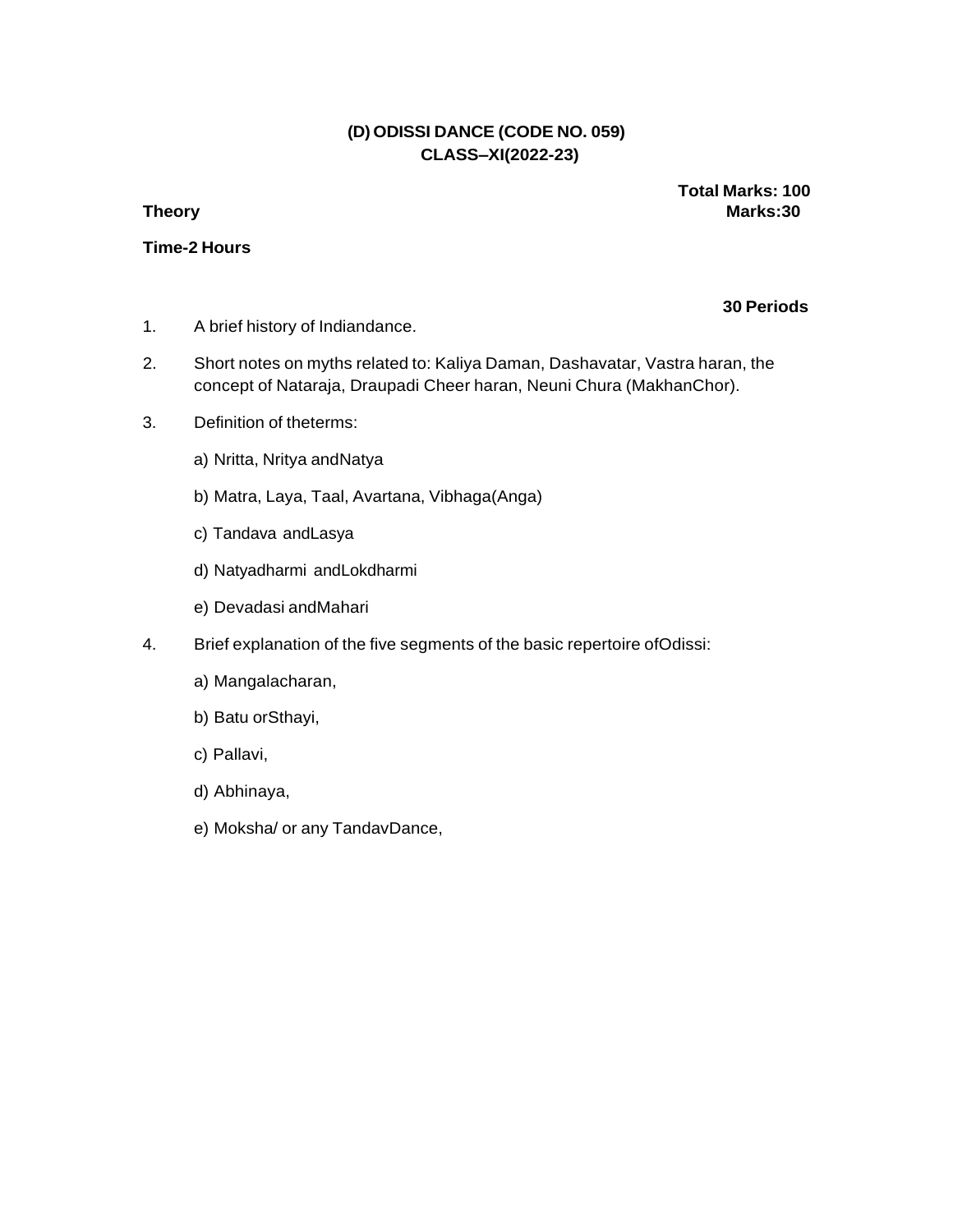# **(D) ODISSI DANCE (CODE NO. 059) CLASS–XI(2022-23)**

### **Time-2 Hours**

**Total Marks: 100 Theory Marks:30**

- 1. A brief history of Indiandance.
- 2. Short notes on myths related to: Kaliya Daman, Dashavatar, Vastra haran, the concept of Nataraja, Draupadi Cheer haran, Neuni Chura (MakhanChor).
- 3. Definition of theterms:
	- a) Nritta, Nritya andNatya
	- b) Matra, Laya, Taal, Avartana, Vibhaga(Anga)
	- c) Tandava andLasya
	- d) Natyadharmi andLokdharmi
	- e) Devadasi andMahari
- 4. Brief explanation of the five segments of the basic repertoire ofOdissi:
	- a) Mangalacharan,
	- b) Batu orSthayi,
	- c) Pallavi,
	- d) Abhinaya,
	- e) Moksha/ or any TandavDance,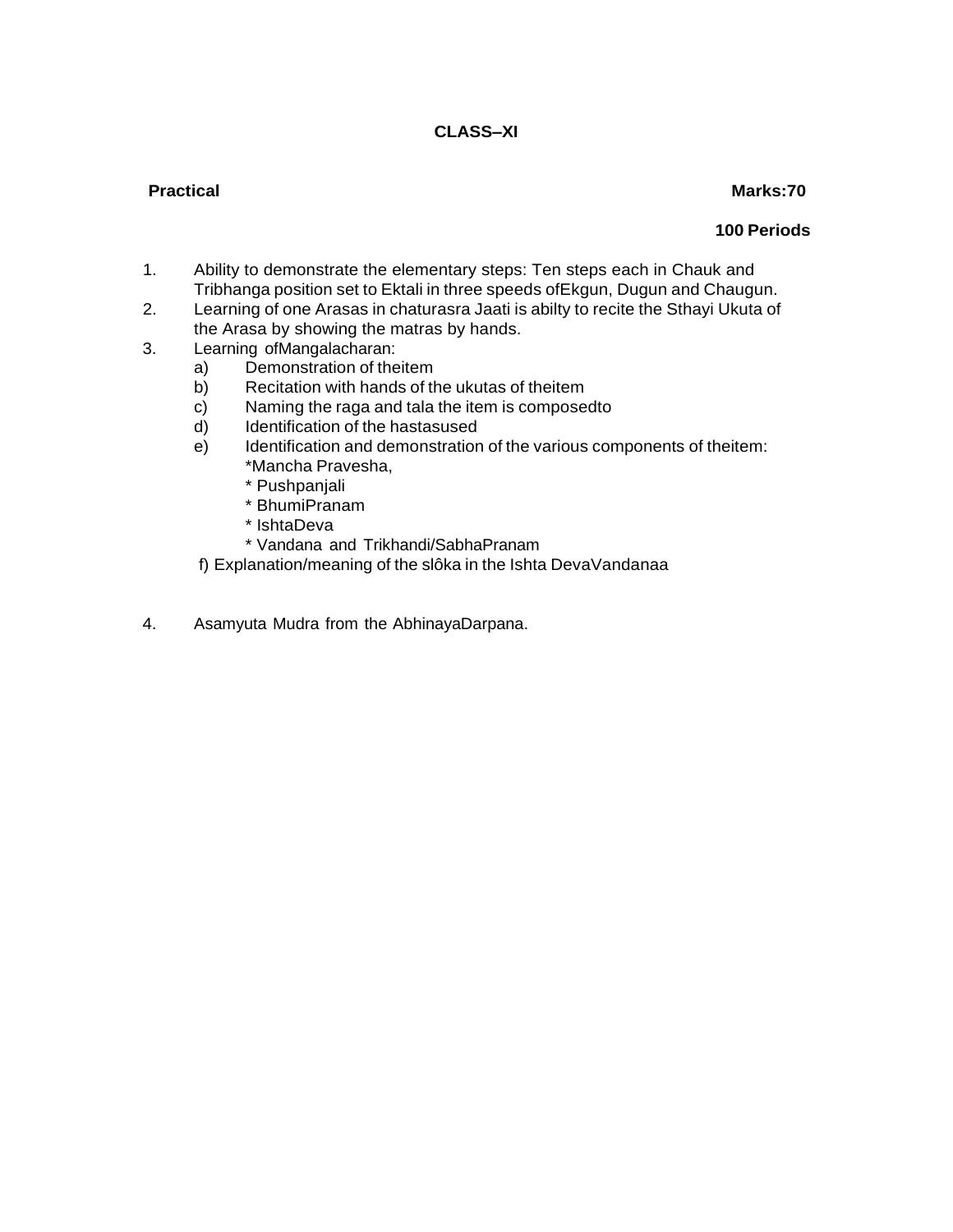# **Practical Marks:70**

- 1. Ability to demonstrate the elementary steps: Ten steps each in Chauk and Tribhanga position set to Ektali in three speeds ofEkgun, Dugun and Chaugun.
- 2. Learning of one Arasas in chaturasra Jaati is abilty to recite the Sthayi Ukuta of the Arasa by showing the matras by hands.
- 3. Learning ofMangalacharan:
	- a) Demonstration of theitem
	- b) Recitation with hands of the ukutas of theitem
	- c) Naming the raga and tala the item is composedto
	- d) Identification of the hastasused
	- e) Identification and demonstration of the various components of theitem: \*Mancha Pravesha,
		- \* Pushpanjali
		- \* BhumiPranam
		- \* IshtaDeva
		- \* Vandana and Trikhandi/SabhaPranam
	- f) Explanation/meaning of the slôka in the Ishta DevaVandanaa
- 4. Asamyuta Mudra from the AbhinayaDarpana.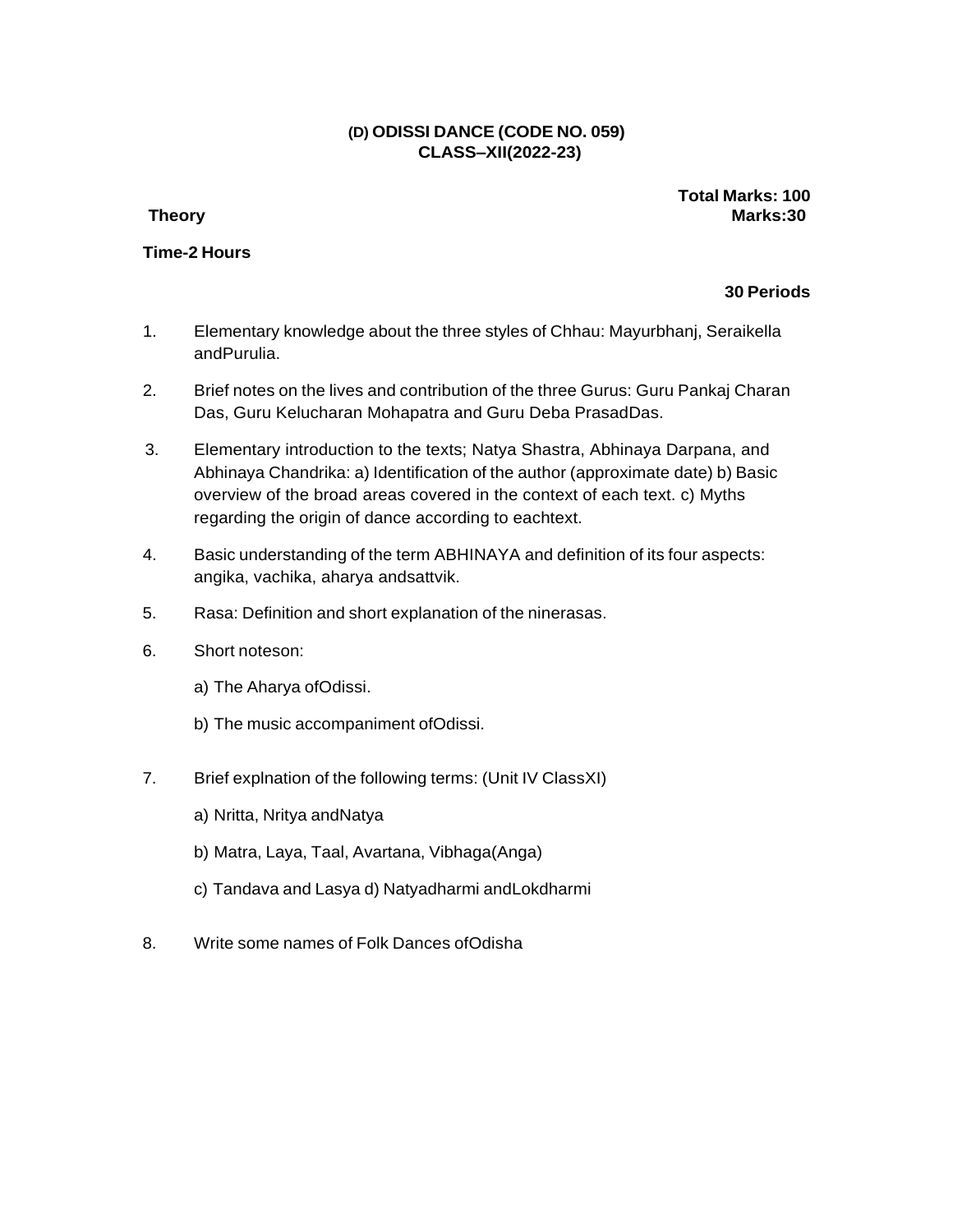# **(D) ODISSI DANCE (CODE NO. 059) CLASS–XII(2022-23)**

### **Time-2 Hours**

**Total Marks: 100 Theory Marks:30**

- 1. Elementary knowledge about the three styles of Chhau: Mayurbhanj, Seraikella andPurulia.
- 2. Brief notes on the lives and contribution of the three Gurus: Guru Pankaj Charan Das, Guru Kelucharan Mohapatra and Guru Deba PrasadDas.
- 3. Elementary introduction to the texts; Natya Shastra, Abhinaya Darpana, and Abhinaya Chandrika: a) Identification of the author (approximate date) b) Basic overview of the broad areas covered in the context of each text. c) Myths regarding the origin of dance according to eachtext.
- 4. Basic understanding of the term ABHINAYA and definition of its four aspects: angika, vachika, aharya andsattvik.
- 5. Rasa: Definition and short explanation of the ninerasas.
- 6. Short noteson:
	- a) The Aharya ofOdissi.
	- b) The music accompaniment ofOdissi.
- 7. Brief explnation of the following terms: (Unit IV ClassXI)
	- a) Nritta, Nritya andNatya
	- b) Matra, Laya, Taal, Avartana, Vibhaga(Anga)
	- c) Tandava and Lasya d) Natyadharmi andLokdharmi
- 8. Write some names of Folk Dances ofOdisha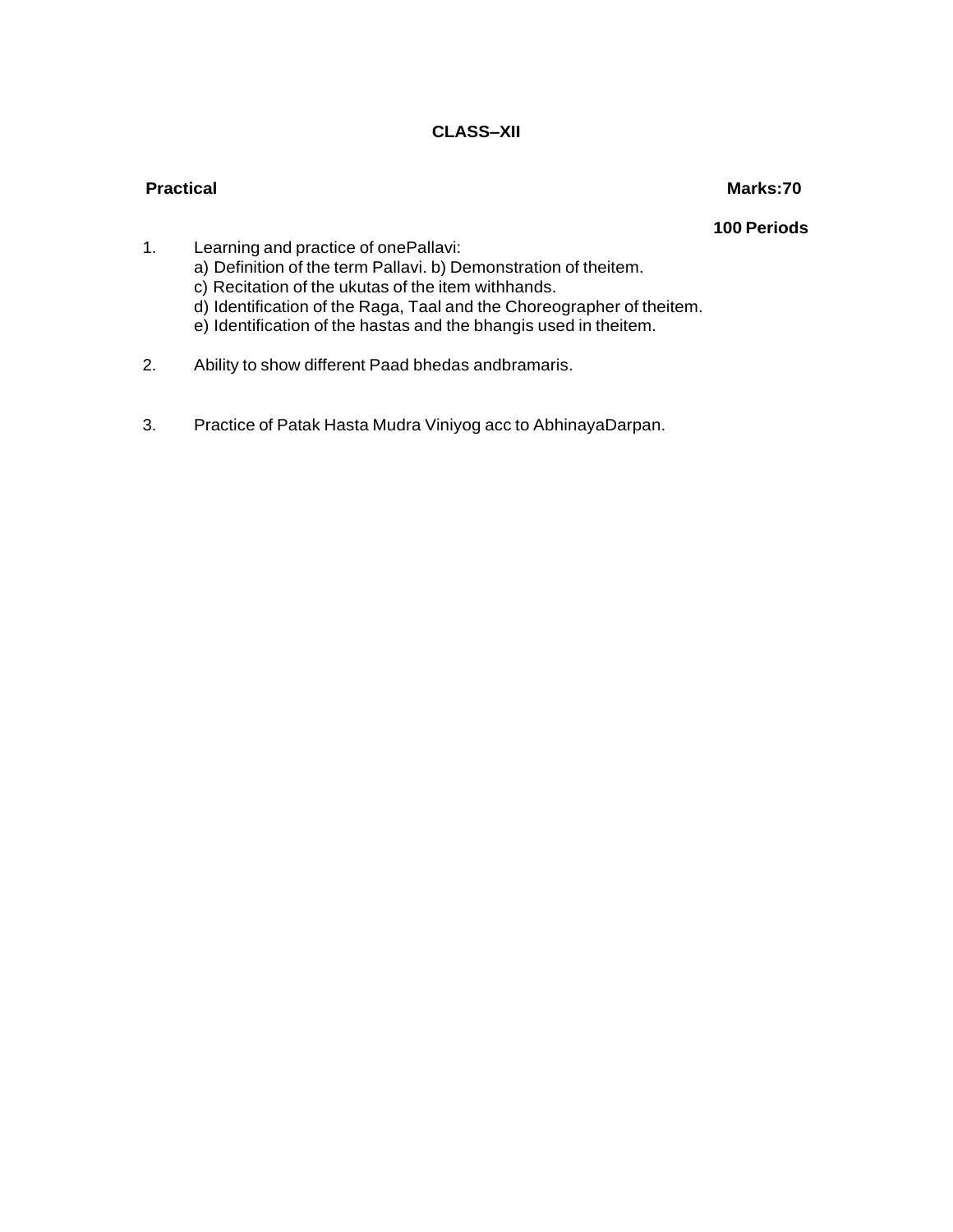# **Practical Marks:70**

- 1. Learning and practice of onePallavi: a) Definition of the term Pallavi. b) Demonstration of theitem. c) Recitation of the ukutas of the item withhands.
	- d) Identification of the Raga, Taal and the Choreographer of theitem.
	- e) Identification of the hastas and the bhangis used in theitem.
- 2. Ability to show different Paad bhedas andbramaris.
- 3. Practice of Patak Hasta Mudra Viniyog acc to AbhinayaDarpan.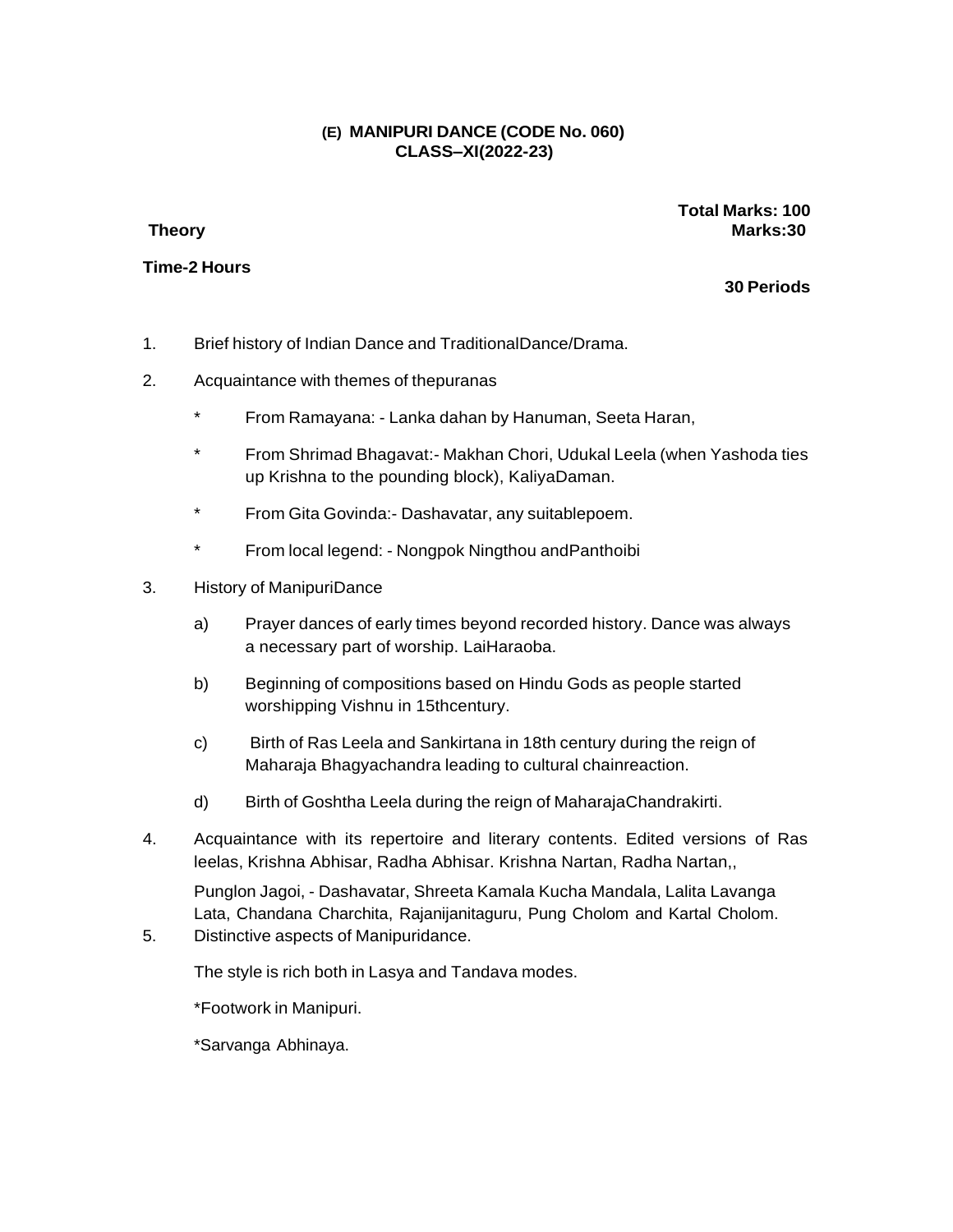# **(E) MANIPURI DANCE (CODE No. 060) CLASS–XI(2022-23)**

### **Time-2 Hours**

**Total Marks: 100 Theory Marks:30**

**30 Periods**

- 1. Brief history of Indian Dance and TraditionalDance/Drama.
- 2. Acquaintance with themes of thepuranas
	- From Ramayana: Lanka dahan by Hanuman, Seeta Haran,
	- \* From Shrimad Bhagavat:- Makhan Chori, Udukal Leela (when Yashoda ties up Krishna to the pounding block), KaliyaDaman.
	- \* From Gita Govinda:- Dashavatar, any suitablepoem.
	- \* From local legend: Nongpok Ningthou andPanthoibi
- 3. History of ManipuriDance
	- a) Prayer dances of early times beyond recorded history. Dance was always a necessary part of worship. LaiHaraoba.
	- b) Beginning of compositions based on Hindu Gods as people started worshipping Vishnu in 15thcentury.
	- c) Birth of Ras Leela and Sankirtana in 18th century during the reign of Maharaja Bhagyachandra leading to cultural chainreaction.
	- d) Birth of Goshtha Leela during the reign of MaharajaChandrakirti.
- 4. Acquaintance with its repertoire and literary contents. Edited versions of Ras leelas, Krishna Abhisar, Radha Abhisar. Krishna Nartan, Radha Nartan,,

Punglon Jagoi, - Dashavatar, Shreeta Kamala Kucha Mandala, Lalita Lavanga Lata, Chandana Charchita, Rajanijanitaguru, Pung Cholom and Kartal Cholom.

5. Distinctive aspects of Manipuridance.

The style is rich both in Lasya and Tandava modes.

\*Footwork in Manipuri.

\*Sarvanga Abhinaya.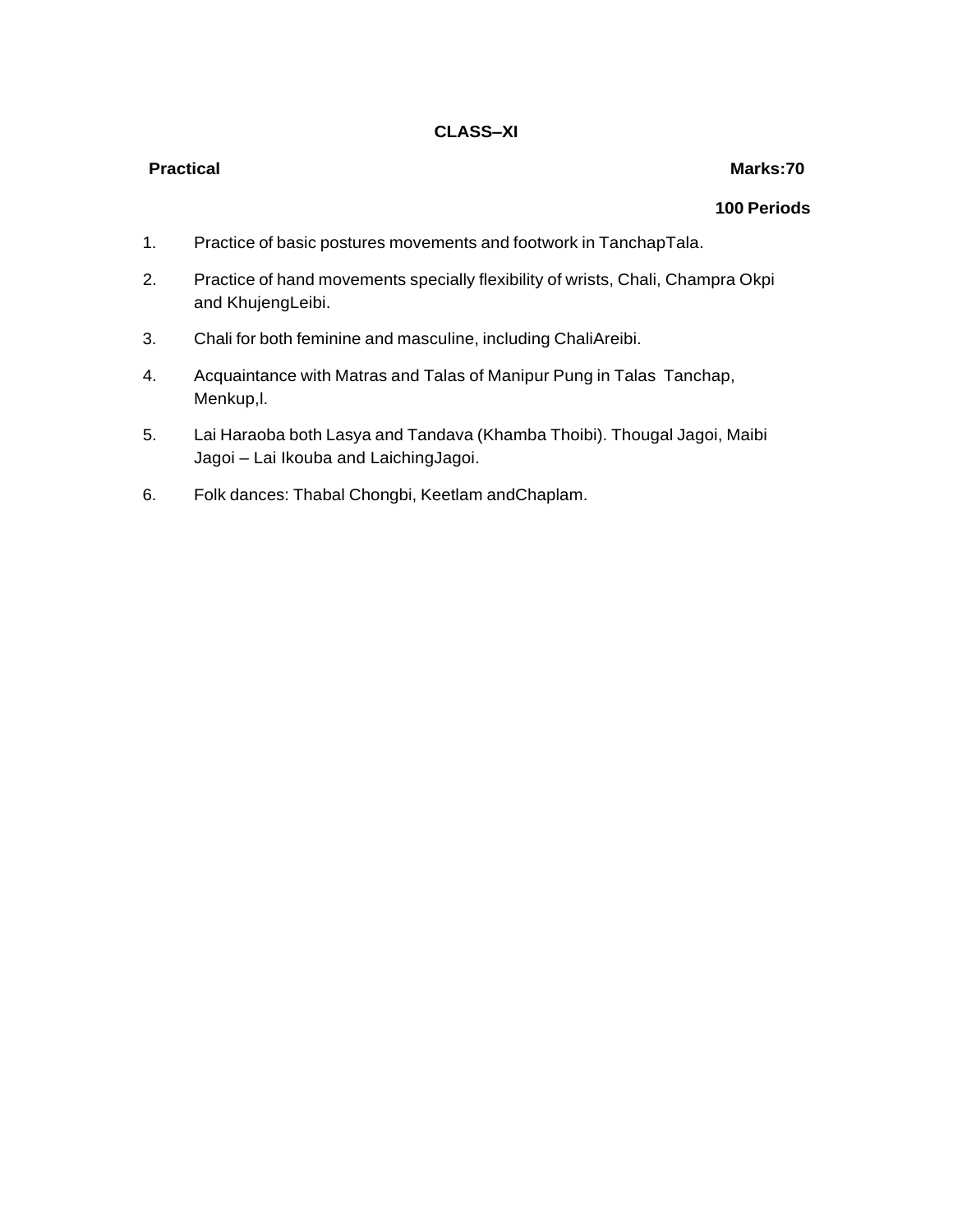### **Practical Marks:70**

- 1. Practice of basic postures movements and footwork in TanchapTala.
- 2. Practice of hand movements specially flexibility of wrists, Chali, Champra Okpi and KhujengLeibi.
- 3. Chali for both feminine and masculine, including ChaliAreibi.
- 4. Acquaintance with Matras and Talas of Manipur Pung in Talas Tanchap, Menkup,l.
- 5. Lai Haraoba both Lasya and Tandava (Khamba Thoibi). Thougal Jagoi, Maibi Jagoi – Lai Ikouba and LaichingJagoi.
- 6. Folk dances: Thabal Chongbi, Keetlam andChaplam.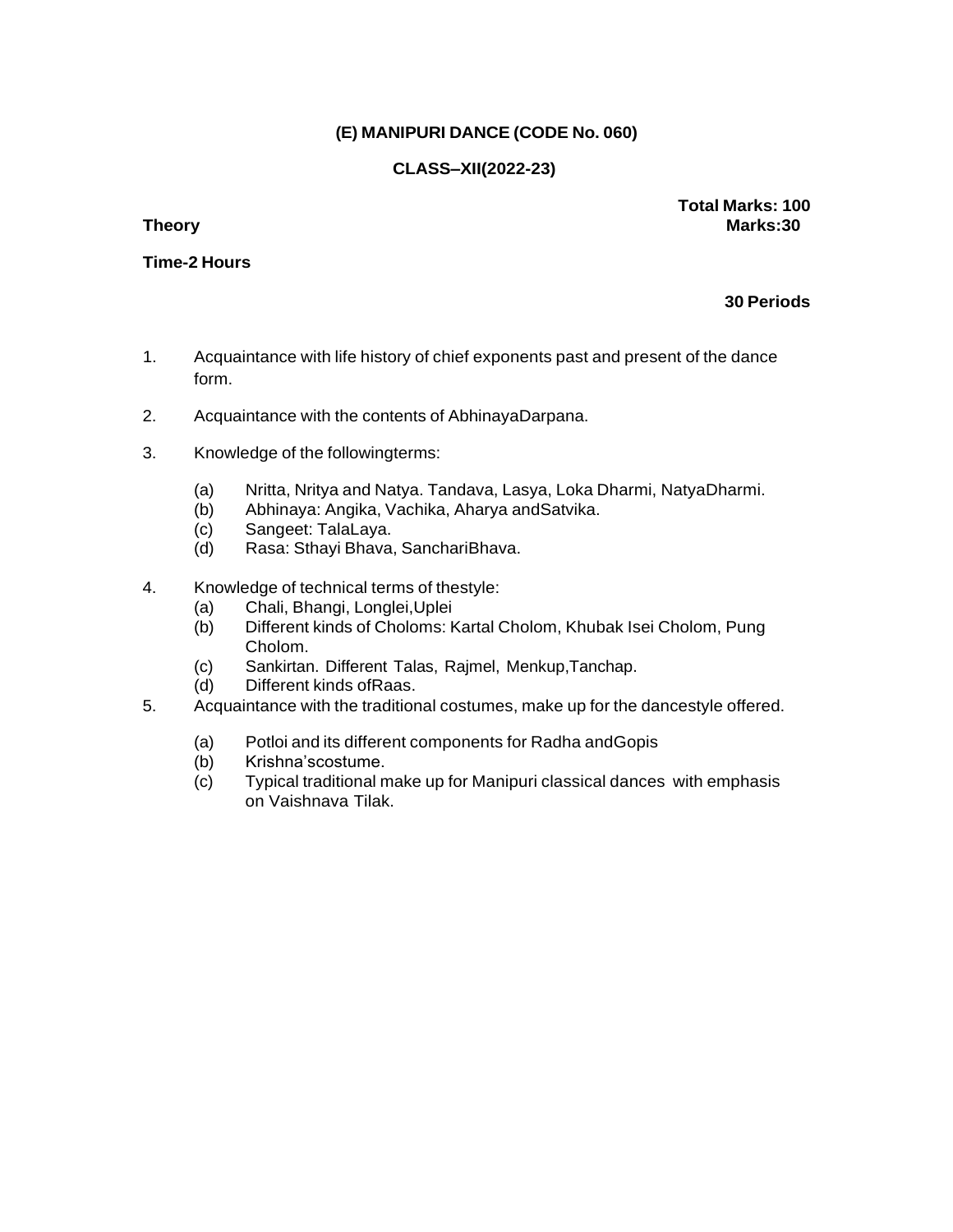# **(E) MANIPURI DANCE (CODE No. 060)**

# **CLASS–XII(2022-23)**

**Time-2 Hours**

**Total Marks: 100 Theory Marks:30**

- 1. Acquaintance with life history of chief exponents past and present of the dance form.
- 2. Acquaintance with the contents of AbhinayaDarpana.
- 3. Knowledge of the followingterms:
	- (a) Nritta, Nritya and Natya. Tandava, Lasya, Loka Dharmi, NatyaDharmi.
	- (b) Abhinaya: Angika, Vachika, Aharya andSatvika.
	- (c) Sangeet: TalaLaya.
	- (d) Rasa: Sthayi Bhava, SanchariBhava.
- 4. Knowledge of technical terms of thestyle:
	- (a) Chali, Bhangi, Longlei,Uplei
	- (b) Different kinds of Choloms: Kartal Cholom, Khubak Isei Cholom, Pung Cholom.
	- (c) Sankirtan. Different Talas, Rajmel, Menkup,Tanchap.
	- (d) Different kinds ofRaas.
- 5. Acquaintance with the traditional costumes, make up for the dancestyle offered.
	- (a) Potloi and its different components for Radha andGopis
	- (b) Krishna'scostume.
	- (c) Typical traditional make up for Manipuri classical dances with emphasis on Vaishnava Tilak.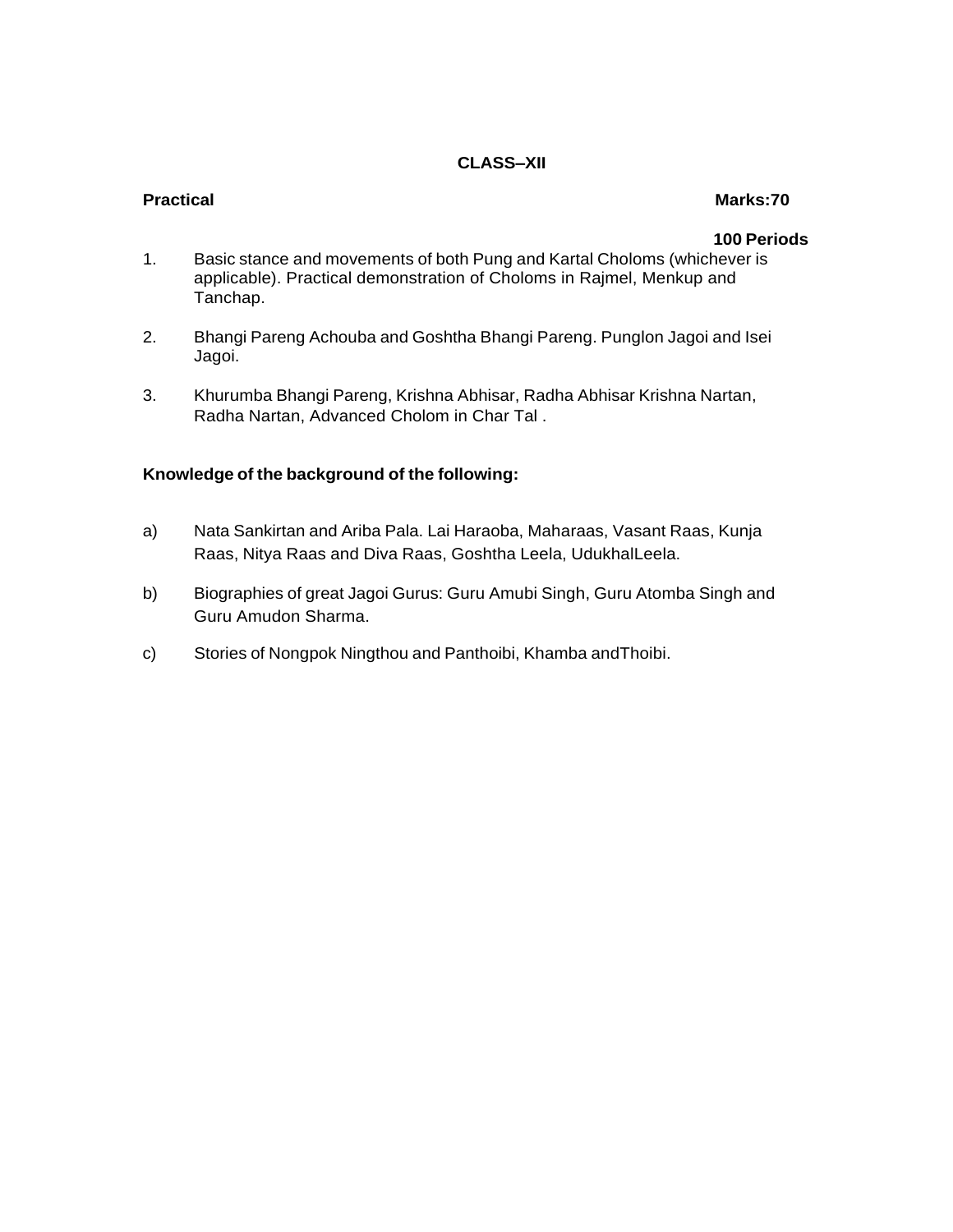# **Practical Marks:70**

### **100 Periods**

- 1. Basic stance and movements of both Pung and Kartal Choloms (whichever is applicable). Practical demonstration of Choloms in Rajmel, Menkup and Tanchap.
- 2. Bhangi Pareng Achouba and Goshtha Bhangi Pareng. Punglon Jagoi and Isei Jagoi.
- 3. Khurumba Bhangi Pareng, Krishna Abhisar, Radha Abhisar Krishna Nartan, Radha Nartan, Advanced Cholom in Char Tal .

### **Knowledge of the background of the following:**

- a) Nata Sankirtan and Ariba Pala. Lai Haraoba, Maharaas, Vasant Raas, Kunja Raas, Nitya Raas and Diva Raas, Goshtha Leela, UdukhalLeela.
- b) Biographies of great Jagoi Gurus: Guru Amubi Singh, Guru Atomba Singh and Guru Amudon Sharma.
- c) Stories of Nongpok Ningthou and Panthoibi, Khamba andThoibi.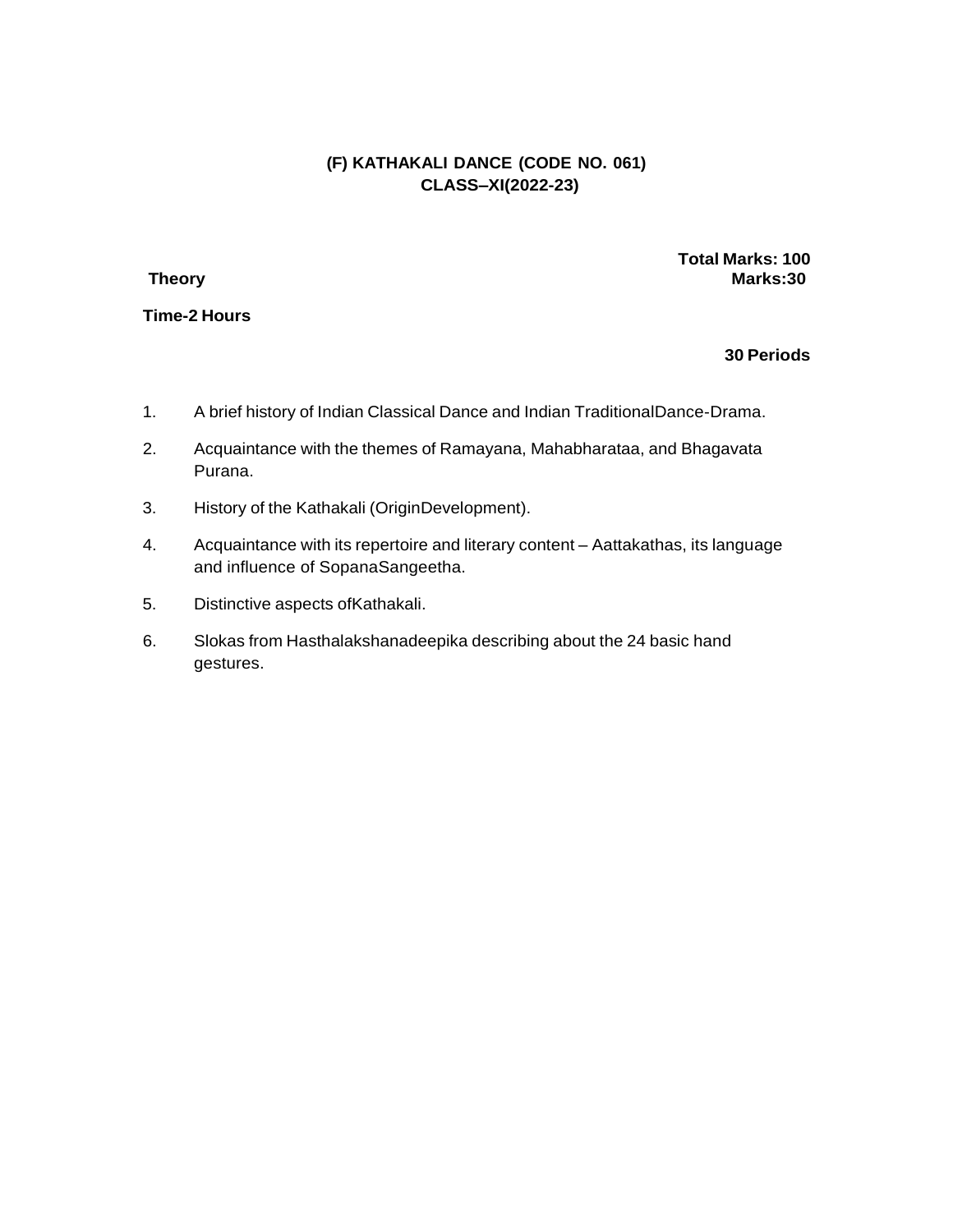# **(F) KATHAKALI DANCE (CODE NO. 061) CLASS–XI(2022-23)**

**Time-2 Hours**

**Total Marks: 100 Theory Marks:30**

- 1. A brief history of Indian Classical Dance and Indian TraditionalDance-Drama.
- 2. Acquaintance with the themes of Ramayana, Mahabharataa, and Bhagavata Purana.
- 3. History of the Kathakali (OriginDevelopment).
- 4. Acquaintance with its repertoire and literary content Aattakathas, its language and influence of SopanaSangeetha.
- 5. Distinctive aspects ofKathakali.
- 6. Slokas from Hasthalakshanadeepika describing about the 24 basic hand gestures.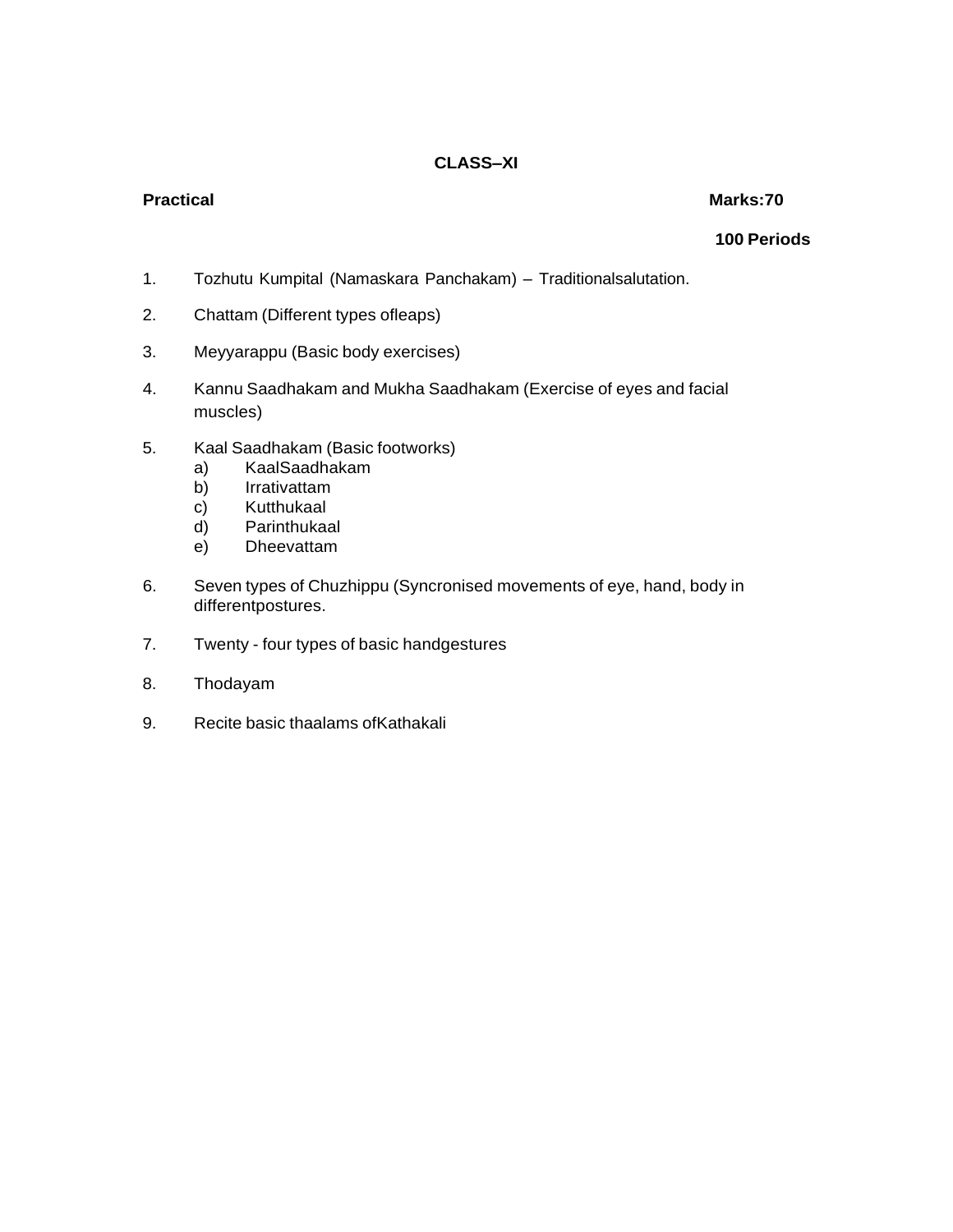# **Practical Marks:70**

- 1. Tozhutu Kumpital (Namaskara Panchakam) Traditionalsalutation.
- 2. Chattam (Different types ofleaps)
- 3. Meyyarappu (Basic body exercises)
- 4. Kannu Saadhakam and Mukha Saadhakam (Exercise of eyes and facial muscles)
- 5. Kaal Saadhakam (Basic footworks)
	- a) KaalSaadhakam
	- b) Irrativattam
	- c) Kutthukaal
	- d) Parinthukaal
	- e) Dheevattam
- 6. Seven types of Chuzhippu (Syncronised movements of eye, hand, body in differentpostures.
- 7. Twenty four types of basic handgestures
- 8. Thodayam
- 9. Recite basic thaalams ofKathakali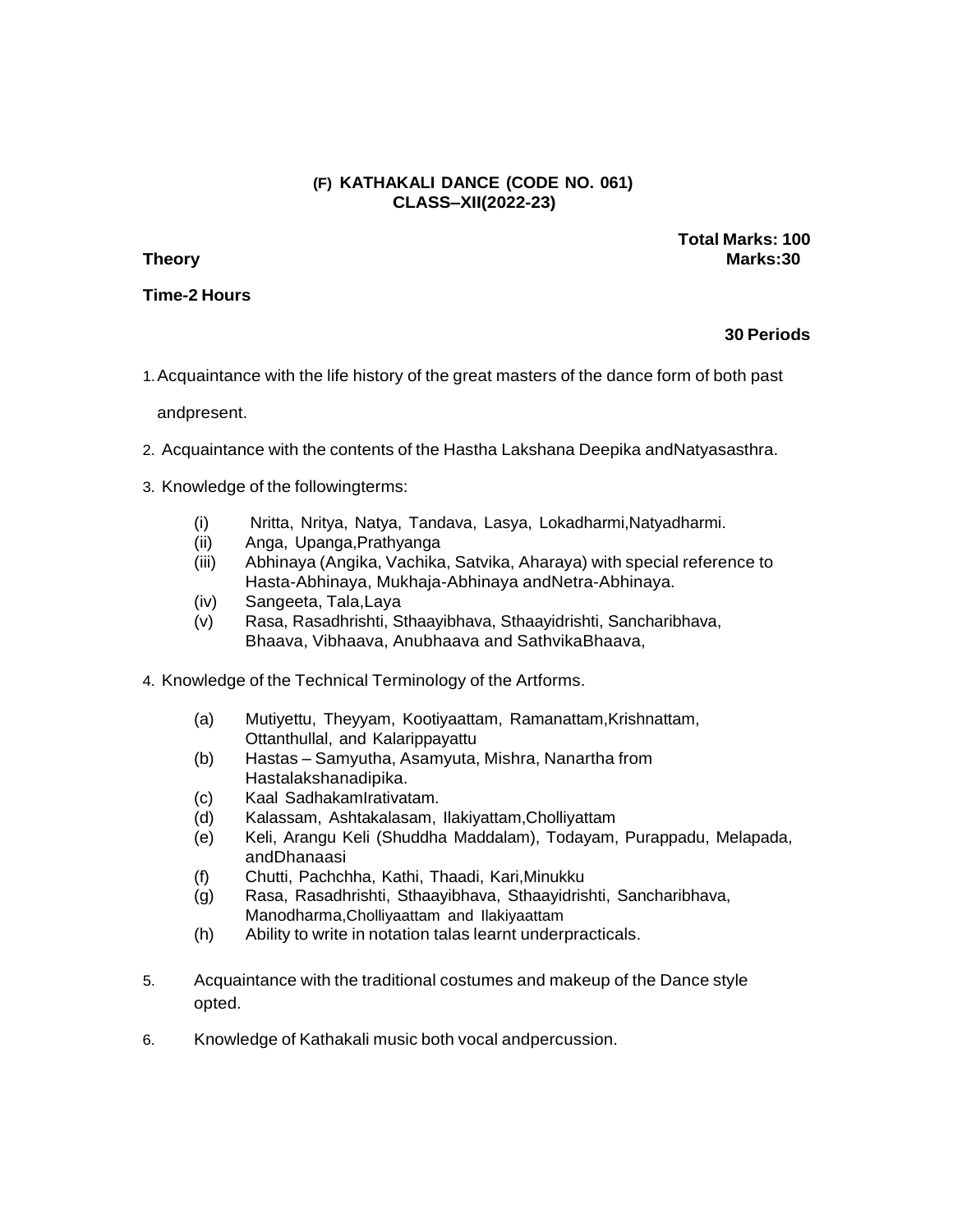### **(F) KATHAKALI DANCE (CODE NO. 061) CLASS–XII(2022-23)**

**Time-2 Hours**

**Total Marks: 100 Theory Marks:30**

### **30 Periods**

1.Acquaintance with the life history of the great masters of the dance form of both past

andpresent.

- 2. Acquaintance with the contents of the Hastha Lakshana Deepika andNatyasasthra.
- 3. Knowledge of the followingterms:
	- (i) Nritta, Nritya, Natya, Tandava, Lasya, Lokadharmi,Natyadharmi.
	- (ii) Anga, Upanga,Prathyanga
	- (iii) Abhinaya (Angika, Vachika, Satvika, Aharaya) with special reference to Hasta-Abhinaya, Mukhaja-Abhinaya andNetra-Abhinaya.
	- (iv) Sangeeta, Tala,Laya
	- (v) Rasa, Rasadhrishti, Sthaayibhava, Sthaayidrishti, Sancharibhava, Bhaava, Vibhaava, Anubhaava and SathvikaBhaava,
- 4. Knowledge of the Technical Terminology of the Artforms.
	- (a) Mutiyettu, Theyyam, Kootiyaattam, Ramanattam,Krishnattam, Ottanthullal, and Kalarippayattu
	- (b) Hastas Samyutha, Asamyuta, Mishra, Nanartha from Hastalakshanadipika.
	- (c) Kaal SadhakamIrativatam.
	- (d) Kalassam, Ashtakalasam, Ilakiyattam,Cholliyattam
	- (e) Keli, Arangu Keli (Shuddha Maddalam), Todayam, Purappadu, Melapada, andDhanaasi
	- (f) Chutti, Pachchha, Kathi, Thaadi, Kari,Minukku
	- (g) Rasa, Rasadhrishti, Sthaayibhava, Sthaayidrishti, Sancharibhava, Manodharma,Cholliyaattam and Ilakiyaattam
	- (h) Ability to write in notation talas learnt underpracticals.
- 5. Acquaintance with the traditional costumes and makeup of the Dance style opted.
- 6. Knowledge of Kathakali music both vocal andpercussion.